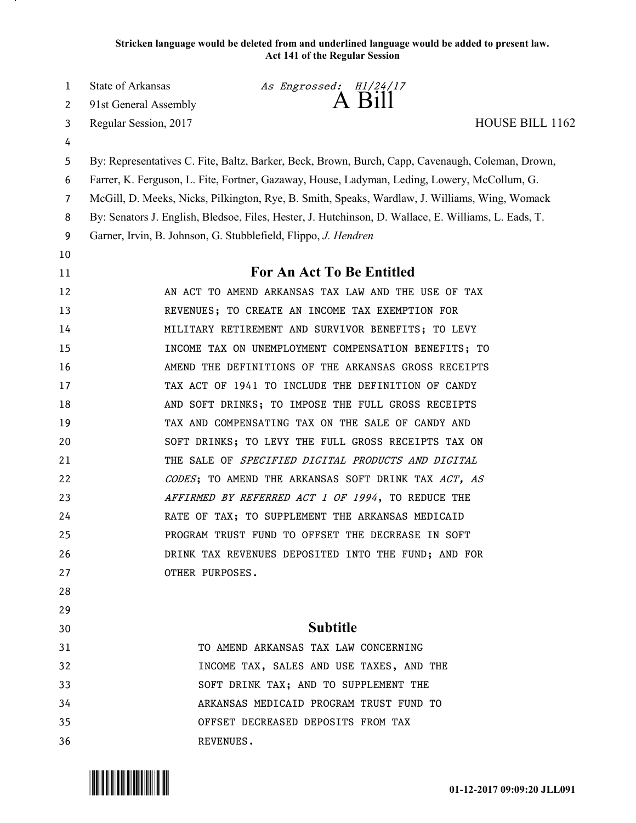**Stricken language would be deleted from and underlined language would be added to present law. Act 141 of the Regular Session**

1 State of Arkansas *As Engrossed:*  $H1/24/17$ <br>2 91st General Assembly **A** Bill

2 91st General Assembly  $\overrightarrow{AB}$   $\overrightarrow{2n}$   $\overrightarrow{111}$ 

Regular Session, 2017 HOUSE BILL 1162

By: Representatives C. Fite, Baltz, Barker, Beck, Brown, Burch, Capp, Cavenaugh, Coleman, Drown,

Farrer, K. Ferguson, L. Fite, Fortner, Gazaway, House, Ladyman, Leding, Lowery, McCollum, G.

McGill, D. Meeks, Nicks, Pilkington, Rye, B. Smith, Speaks, Wardlaw, J. Williams, Wing, Womack

By: Senators J. English, Bledsoe, Files, Hester, J. Hutchinson, D. Wallace, E. Williams, L. Eads, T.

Garner, Irvin, B. Johnson, G. Stubblefield, Flippo, *J. Hendren*

 

## **For An Act To Be Entitled**

 AN ACT TO AMEND ARKANSAS TAX LAW AND THE USE OF TAX 13 REVENUES; TO CREATE AN INCOME TAX EXEMPTION FOR MILITARY RETIREMENT AND SURVIVOR BENEFITS; TO LEVY INCOME TAX ON UNEMPLOYMENT COMPENSATION BENEFITS; TO **AMEND THE DEFINITIONS OF THE ARKANSAS GROSS RECEIPTS**  TAX ACT OF 1941 TO INCLUDE THE DEFINITION OF CANDY 18 AND SOFT DRINKS; TO IMPOSE THE FULL GROSS RECEIPTS TAX AND COMPENSATING TAX ON THE SALE OF CANDY AND SOFT DRINKS; TO LEVY THE FULL GROSS RECEIPTS TAX ON 21 THE SALE OF SPECIFIED DIGITAL PRODUCTS AND DIGITAL 22 CODES; TO AMEND THE ARKANSAS SOFT DRINK TAX ACT, AS 23 AFFIRMED BY REFERRED ACT 1 OF 1994, TO REDUCE THE RATE OF TAX; TO SUPPLEMENT THE ARKANSAS MEDICAID PROGRAM TRUST FUND TO OFFSET THE DECREASE IN SOFT DRINK TAX REVENUES DEPOSITED INTO THE FUND; AND FOR 27 OTHER PURPOSES.

## **Subtitle**

 TO AMEND ARKANSAS TAX LAW CONCERNING INCOME TAX, SALES AND USE TAXES, AND THE SOFT DRINK TAX; AND TO SUPPLEMENT THE ARKANSAS MEDICAID PROGRAM TRUST FUND TO OFFSET DECREASED DEPOSITS FROM TAX REVENUES.

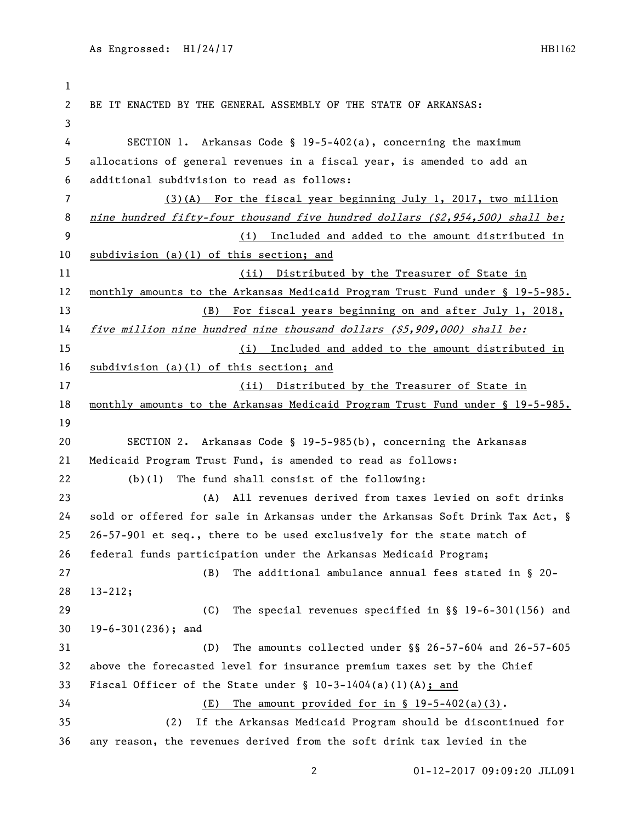```
1
2 BE IT ENACTED BY THE GENERAL ASSEMBLY OF THE STATE OF ARKANSAS:
3
4 SECTION 1. Arkansas Code § 19-5-402(a), concerning the maximum 
5 allocations of general revenues in a fiscal year, is amended to add an 
6 additional subdivision to read as follows:
7 (3)(A) For the fiscal year beginning July 1, 2017, two million 
8 nine hundred fifty-four thousand five hundred dollars ($2,954,500) shall be:
9 (i) Included and added to the amount distributed in 
10 subdivision (a)(1) of this section; and 
11 (ii) Distributed by the Treasurer of State in 
12 monthly amounts to the Arkansas Medicaid Program Trust Fund under § 19-5-985.
13 (B) For fiscal years beginning on and after July 1, 2018, 
14 five million nine hundred nine thousand dollars ($5,909,000) shall be:
15 (i) Included and added to the amount distributed in 
16 subdivision (a)(1) of this section; and
17 (ii) Distributed by the Treasurer of State in 
18 monthly amounts to the Arkansas Medicaid Program Trust Fund under § 19-5-985.
19
20 SECTION 2. Arkansas Code § 19-5-985(b), concerning the Arkansas 
21 Medicaid Program Trust Fund, is amended to read as follows:
22 (b)(1) The fund shall consist of the following:
23 (A) All revenues derived from taxes levied on soft drinks 
24 sold or offered for sale in Arkansas under the Arkansas Soft Drink Tax Act, §
25 26-57-901 et seq., there to be used exclusively for the state match of 
26 federal funds participation under the Arkansas Medicaid Program;
27 (B) The additional ambulance annual fees stated in § 20-
28 13-212;
29 (C) The special revenues specified in §§ 19-6-301(156) and 
30 19-6-301(236); and
31 (D) The amounts collected under §§ 26-57-604 and 26-57-605 
32 above the forecasted level for insurance premium taxes set by the Chief 
33 Fiscal Officer of the State under § 10-3-1404(a)(1)(A); and
34 (E) The amount provided for in § 19-5-402(a)(3).
35 (2) If the Arkansas Medicaid Program should be discontinued for 
36 any reason, the revenues derived from the soft drink tax levied in the
```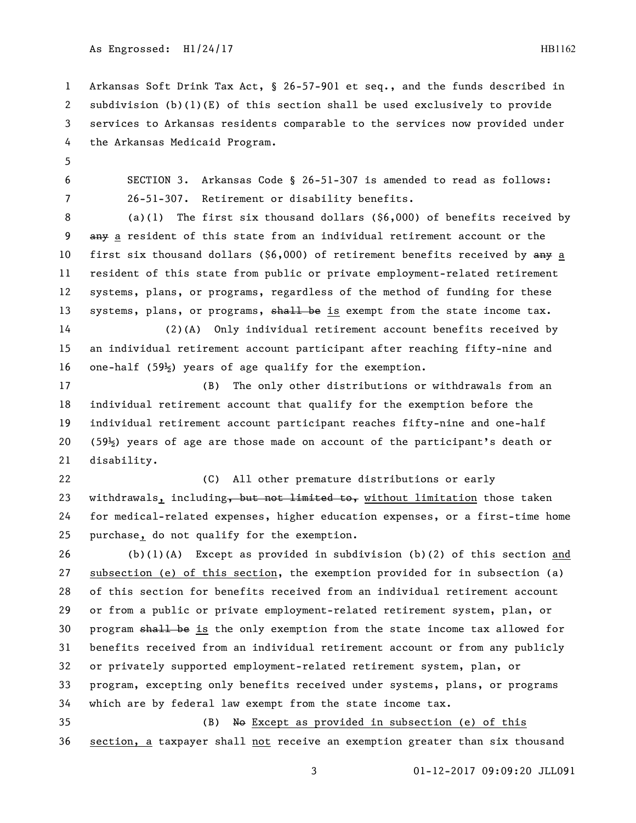Arkansas Soft Drink Tax Act, § 26-57-901 et seq., and the funds described in subdivision (b)(1)(E) of this section shall be used exclusively to provide services to Arkansas residents comparable to the services now provided under the Arkansas Medicaid Program.

 SECTION 3. Arkansas Code § 26-51-307 is amended to read as follows: 26-51-307. Retirement or disability benefits.

 (a)(1) The first six thousand dollars (\$6,000) of benefits received by any a resident of this state from an individual retirement account or the 10 first six thousand dollars (\$6,000) of retirement benefits received by any a resident of this state from public or private employment-related retirement systems, plans, or programs, regardless of the method of funding for these 13 systems, plans, or programs, shall be is exempt from the state income tax.

 (2)(A) Only individual retirement account benefits received by an individual retirement account participant after reaching fifty-nine and one-half (59½) years of age qualify for the exemption.

 (B) The only other distributions or withdrawals from an individual retirement account that qualify for the exemption before the individual retirement account participant reaches fifty-nine and one-half (59½) years of age are those made on account of the participant's death or disability.

 (C) All other premature distributions or early 23 withdrawals, including, but not limited to, without limitation those taken for medical-related expenses, higher education expenses, or a first-time home purchase, do not qualify for the exemption.

 (b)(1)(A) Except as provided in subdivision (b)(2) of this section and subsection (e) of this section, the exemption provided for in subsection (a) of this section for benefits received from an individual retirement account or from a public or private employment-related retirement system, plan, or program shall be is the only exemption from the state income tax allowed for benefits received from an individual retirement account or from any publicly or privately supported employment-related retirement system, plan, or program, excepting only benefits received under systems, plans, or programs which are by federal law exempt from the state income tax. (B) No Except as provided in subsection (e) of this

section, a taxpayer shall not receive an exemption greater than six thousand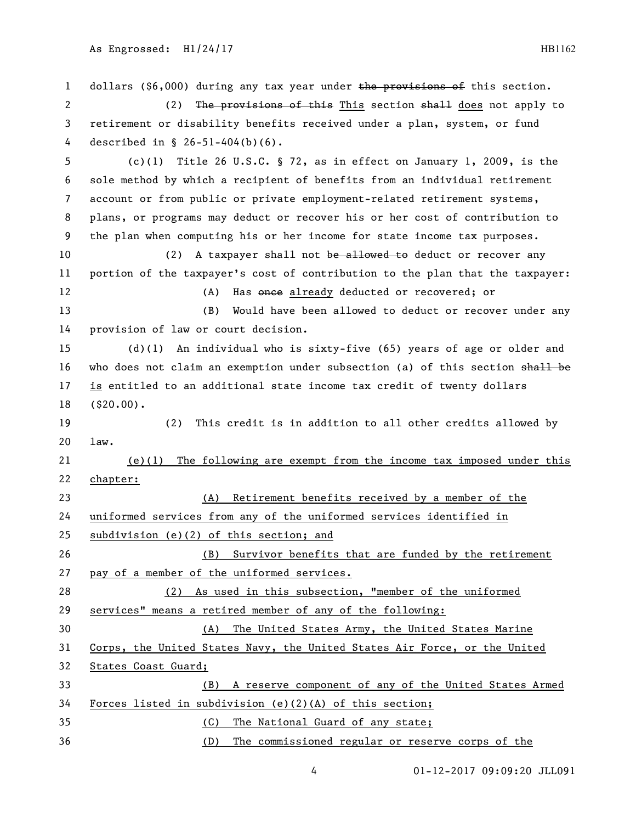1 dollars (\$6,000) during any tax year under the provisions of this section. 2 (2) The provisions of this This section shall does not apply to retirement or disability benefits received under a plan, system, or fund described in § 26-51-404(b)(6). (c)(1) Title 26 U.S.C. § 72, as in effect on January 1, 2009, is the sole method by which a recipient of benefits from an individual retirement account or from public or private employment-related retirement systems, plans, or programs may deduct or recover his or her cost of contribution to the plan when computing his or her income for state income tax purposes. 10 (2) A taxpayer shall not be allowed to deduct or recover any portion of the taxpayer's cost of contribution to the plan that the taxpayer: 12 (A) Has once already deducted or recovered; or (B) Would have been allowed to deduct or recover under any provision of law or court decision. (d)(1) An individual who is sixty-five (65) years of age or older and 16 who does not claim an exemption under subsection (a) of this section shall be is entitled to an additional state income tax credit of twenty dollars (\$20.00). (2) This credit is in addition to all other credits allowed by law. (e)(1) The following are exempt from the income tax imposed under this chapter: (A) Retirement benefits received by a member of the uniformed services from any of the uniformed services identified in subdivision (e)(2) of this section; and (B) Survivor benefits that are funded by the retirement pay of a member of the uniformed services. (2) As used in this subsection, "member of the uniformed services" means a retired member of any of the following: (A) The United States Army, the United States Marine Corps, the United States Navy, the United States Air Force, or the United States Coast Guard; (B) A reserve component of any of the United States Armed Forces listed in subdivision (e)(2)(A) of this section; (C) The National Guard of any state; (D) The commissioned regular or reserve corps of the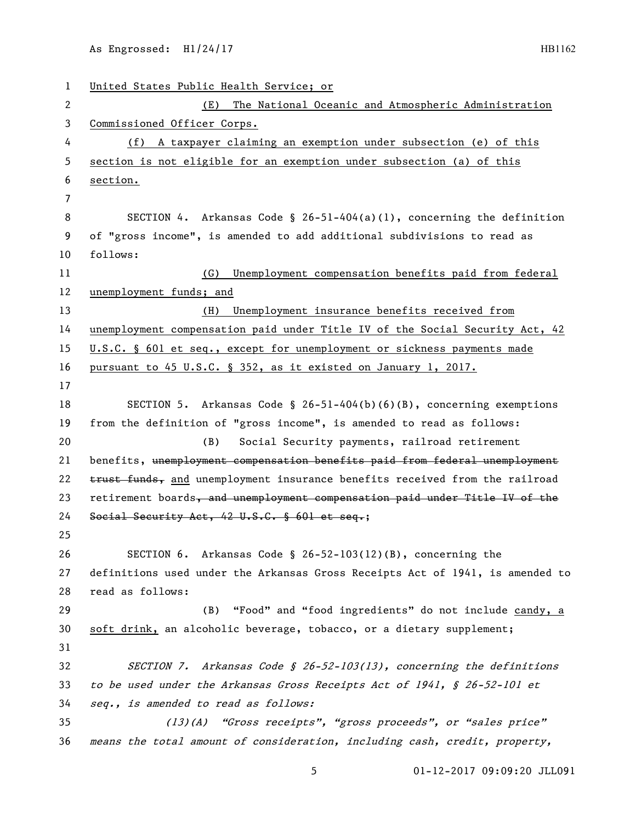| $\mathbf{1}$ | United States Public Health Service; or                                       |
|--------------|-------------------------------------------------------------------------------|
| 2            | The National Oceanic and Atmospheric Administration<br>(E)                    |
| 3            | Commissioned Officer Corps.                                                   |
| 4            | A taxpayer claiming an exemption under subsection (e) of this<br>(f)          |
| 5            | section is not eligible for an exemption under subsection (a) of this         |
| 6            | section.                                                                      |
| 7            |                                                                               |
| 8            | SECTION 4. Arkansas Code § 26-51-404(a)(1), concerning the definition         |
| 9            | of "gross income", is amended to add additional subdivisions to read as       |
| 10           | follows:                                                                      |
| 11           | Unemployment compensation benefits paid from federal<br>(G)                   |
| 12           | unemployment funds; and                                                       |
| 13           | Unemployment insurance benefits received from<br>(H)                          |
| 14           | unemployment compensation paid under Title IV of the Social Security Act, 42  |
| 15           | U.S.C. § 601 et seq., except for unemployment or sickness payments made       |
| 16           | pursuant to 45 U.S.C. § 352, as it existed on January 1, 2017.                |
| 17           |                                                                               |
| 18           | SECTION 5. Arkansas Code § 26-51-404(b)(6)(B), concerning exemptions          |
| 19           | from the definition of "gross income", is amended to read as follows:         |
| 20           | Social Security payments, railroad retirement<br>(B)                          |
| 21           | benefits, unemployment compensation benefits paid from federal unemployment   |
| 22           | trust funds, and unemployment insurance benefits received from the railroad   |
| 23           | retirement boards, and unemployment compensation paid under Title IV of the   |
| 24           | Social Security Act, 42 U.S.C. § 601 et seq.;                                 |
| 25           |                                                                               |
| 26           | SECTION 6. Arkansas Code § 26-52-103(12)(B), concerning the                   |
| 27           | definitions used under the Arkansas Gross Receipts Act of 1941, is amended to |
| 28           | read as follows:                                                              |
| 29           | "Food" and "food ingredients" do not include candy, a<br>(B)                  |
| 30           | soft drink, an alcoholic beverage, tobacco, or a dietary supplement;          |
| 31           |                                                                               |
| 32           | SECTION 7. Arkansas Code § 26-52-103(13), concerning the definitions          |
| 33           | to be used under the Arkansas Gross Receipts Act of 1941, § 26-52-101 et      |
| 34           | seq., is amended to read as follows:                                          |
| 35           | (13)(A) "Gross receipts", "gross proceeds", or "sales price"                  |
| 36           | means the total amount of consideration, including cash, credit, property,    |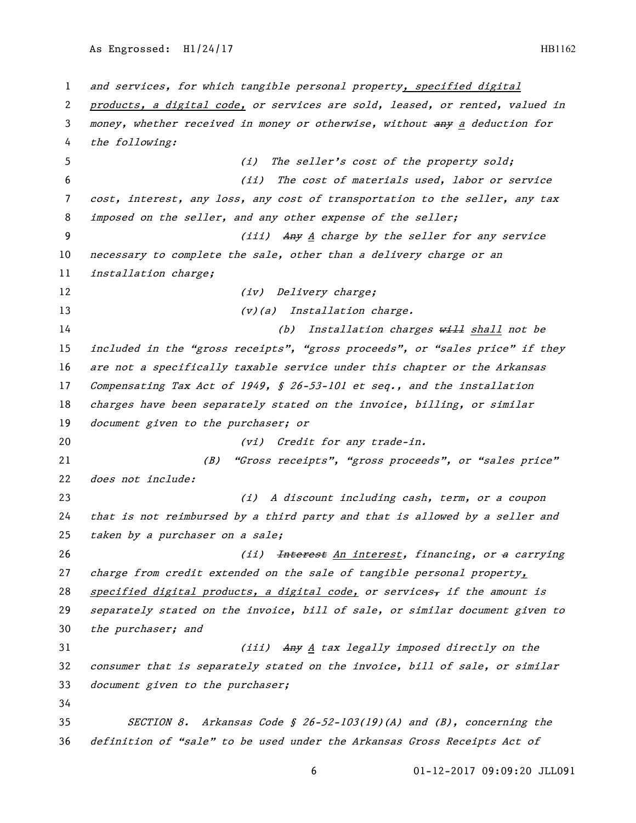and services, for which tangible personal property, specified digital products, a digital code, or services are sold, leased, or rented, valued in money, whether received in money or otherwise, without any <sup>a</sup> deduction for the following: (i) The seller's cost of the property sold; (ii) The cost of materials used, labor or service cost, interest, any loss, any cost of transportation to the seller, any tax imposed on the seller, and any other expense of the seller; (iii) Any <sup>A</sup> charge by the seller for any service 10 necessary to complete the sale, other than a delivery charge or an installation charge; 12 (iv) Delivery charge; 13 (v)(a) Installation charge. 14 (b) Installation charges will shall not be included in the "gross receipts", "gross proceeds", or "sales price" if they are not a specifically taxable service under this chapter or the Arkansas Compensating Tax Act of 1949, § 26-53-101 et seq., and the installation charges have been separately stated on the invoice, billing, or similar 19 document given to the purchaser; or 20 (vi) Credit for any trade-in. (B) "Gross receipts", "gross proceeds", or "sales price" does not include: (i) A discount including cash, term, or a coupon that is not reimbursed by a third party and that is allowed by a seller and taken by a purchaser on a sale; 26 (ii) <del>Interest</del> An interest, financing, or a carrying charge from credit extended on the sale of tangible personal property, 28 specified digital products, a digital code, or services, if the amount is separately stated on the invoice, bill of sale, or similar document given to the purchaser; and 31 (iii) Any A tax legally imposed directly on the consumer that is separately stated on the invoice, bill of sale, or similar 33 document given to the purchaser; SECTION 8. Arkansas Code § 26-52-103(19)(A) and (B), concerning the definition of "sale" to be used under the Arkansas Gross Receipts Act of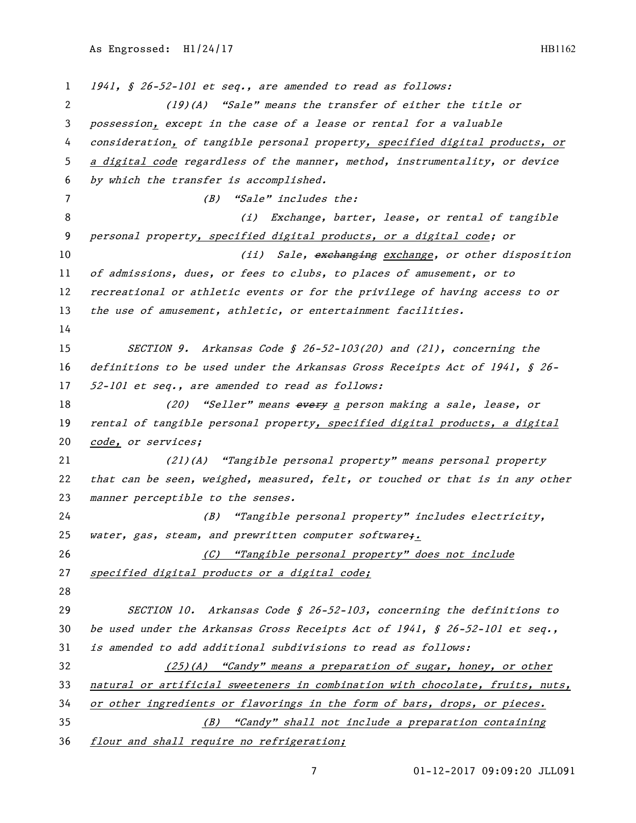1 1941, § 26-52-101 et seq., are amended to read as follows: (19)(A) "Sale" means the transfer of either the title or possession, except in the case of a lease or rental for a valuable 4 consideration, of tangible personal property, specified digital products, or

 a digital code regardless of the manner, method, instrumentality, or device by which the transfer is accomplished. (B) "Sale" includes the: 8 (i) Exchange, barter, lease, or rental of tangible personal property, specified digital products, or a digital code; or 10 (ii) Sale, exchanging exchange, or other disposition of admissions, dues, or fees to clubs, to places of amusement, or to recreational or athletic events or for the privilege of having access to or 13 the use of amusement, athletic, or entertainment facilities. SECTION 9. Arkansas Code § 26-52-103(20) and (21), concerning the definitions to be used under the Arkansas Gross Receipts Act of 1941, § 26- 52-101 et seq., are amended to read as follows: 18 (20) "Seller" means every a person making a sale, lease, or 19 rental of tangible personal property, specified digital products, a digital code, or services; (21)(A) "Tangible personal property" means personal property that can be seen, weighed, measured, felt, or touched or that is in any other 23 manner perceptible to the senses. (B) "Tangible personal property" includes electricity, 25 water, gas, steam, and prewritten computer software; 26 (C) <u>"Tangible personal property" does not include</u> 27 specified digital products or a digital code; SECTION 10. Arkansas Code § 26-52-103, concerning the definitions to be used under the Arkansas Gross Receipts Act of 1941, § 26-52-101 et seq., is amended to add additional subdivisions to read as follows: (25)(A) "Candy" means a preparation of sugar, honey, or other natural or artificial sweeteners in combination with chocolate, fruits, nuts, or other ingredients or flavorings in the form of bars, drops, or pieces. (B) "Candy" shall not include a preparation containing

flour and shall require no refrigeration;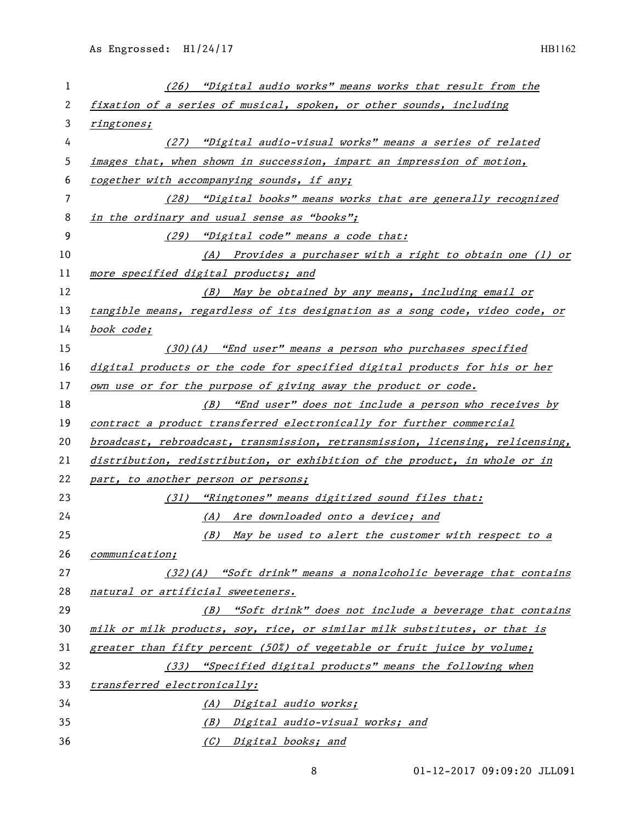| 1  | (26) "Digital audio works" means works that result from the                   |
|----|-------------------------------------------------------------------------------|
| 2  | fixation of a series of musical, spoken, or other sounds, including           |
| 3  | ringtones;                                                                    |
| 4  | (27) "Digital audio-visual works" means a series of related                   |
| 5  | images that, when shown in succession, impart an impression of motion,        |
| 6  | together with accompanying sounds, if any;                                    |
| 7  | (28) "Digital books" means works that are generally recognized                |
| 8  | in the ordinary and usual sense as "books";                                   |
| 9  | (29) "Digital code" means a code that:                                        |
| 10 | (A) Provides a purchaser with a right to obtain one (1) or                    |
| 11 | more specified digital products; and                                          |
| 12 | (B) May be obtained by any means, including email or                          |
| 13 | tangible means, regardless of its designation as a song code, video code, or  |
| 14 | book code;                                                                    |
| 15 | $(30)(A)$ "End user" means a person who purchases specified                   |
| 16 | digital products or the code for specified digital products for his or her    |
| 17 | own use or for the purpose of giving away the product or code.                |
| 18 | (B) "End user" does not include a person who receives by                      |
| 19 | contract a product transferred electronically for further commercial          |
| 20 | broadcast, rebroadcast, transmission, retransmission, licensing, relicensing, |
| 21 | distribution, redistribution, or exhibition of the product, in whole or in    |
| 22 | part, to another person or persons;                                           |
| 23 | (31) "Ringtones" means digitized sound files that:                            |
| 24 | (A) Are downloaded onto a device; and                                         |
| 25 | (B) May be used to alert the customer with respect to a                       |
| 26 | communication;                                                                |
| 27 | $(32)(A)$ "Soft drink" means a nonalcoholic beverage that contains            |
| 28 | natural or artificial sweeteners.                                             |
| 29 | (B) "Soft drink" does not include a beverage that contains                    |
| 30 | milk or milk products, soy, rice, or similar milk substitutes, or that is     |
| 31 | greater than fifty percent (50%) of vegetable or fruit juice by volume;       |
| 32 | (33) "Specified digital products" means the following when                    |
| 33 | transferred electronically:                                                   |
| 34 | (A) Digital audio works;                                                      |
| 35 | (B) Digital audio-visual works; and                                           |
| 36 | (C) Digital books; and                                                        |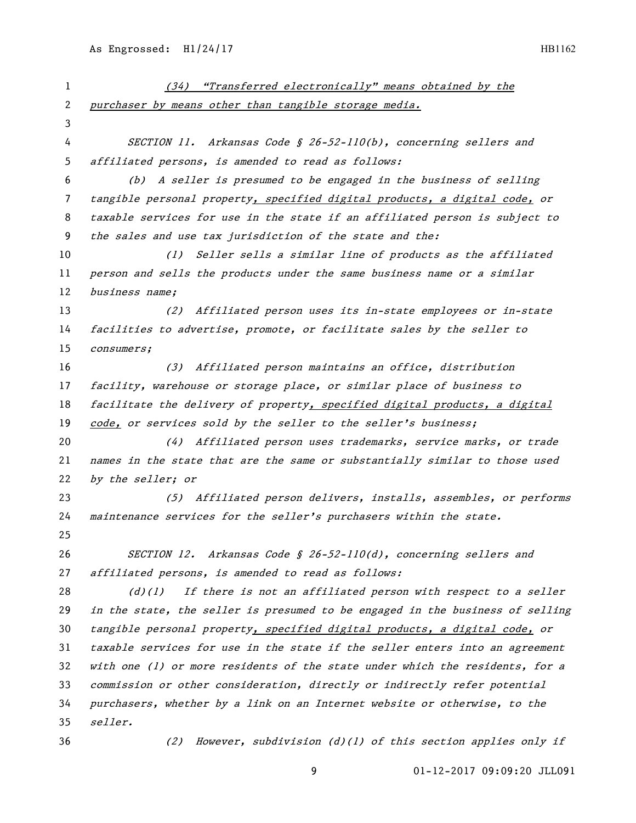| 1              | (34) "Transferred electronically" means obtained by the                       |
|----------------|-------------------------------------------------------------------------------|
| $\overline{c}$ | purchaser by means other than tangible storage media.                         |
| 3              |                                                                               |
| 4              | SECTION 11. Arkansas Code § 26-52-110(b), concerning sellers and              |
| 5              | affiliated persons, is amended to read as follows:                            |
| 6              | (b) A seller is presumed to be engaged in the business of selling             |
| 7              | tangible personal property, specified digital products, a digital code, or    |
| 8              | taxable services for use in the state if an affiliated person is subject to   |
| 9              | the sales and use tax jurisdiction of the state and the:                      |
| 10             | (1) Seller sells a similar line of products as the affiliated                 |
| 11             | person and sells the products under the same business name or a similar       |
| 12             | business name;                                                                |
| 13             | (2) Affiliated person uses its in-state employees or in-state                 |
| 14             | facilities to advertise, promote, or facilitate sales by the seller to        |
| 15             | consumers;                                                                    |
| 16             | (3) Affiliated person maintains an office, distribution                       |
| 17             | facility, warehouse or storage place, or similar place of business to         |
| 18             | facilitate the delivery of property, specified digital products, a digital    |
| 19             | code, or services sold by the seller to the seller's business;                |
| 20             | (4) Affiliated person uses trademarks, service marks, or trade                |
| 21             | names in the state that are the same or substantially similar to those used   |
| 22             | by the seller; or                                                             |
| 23             | (5) Affiliated person delivers, installs, assembles, or performs              |
| 24             | maintenance services for the seller's purchasers within the state.            |
| 25             |                                                                               |
| 26             | SECTION 12. Arkansas Code § 26-52-110(d), concerning sellers and              |
| 27             | affiliated persons, is amended to read as follows:                            |
| 28             | If there is not an affiliated person with respect to a seller<br>(d)(1)       |
| 29             | in the state, the seller is presumed to be engaged in the business of selling |
| 30             | tangible personal property, specified digital products, a digital code, or    |
| 31             | taxable services for use in the state if the seller enters into an agreement  |
| 32             | with one (1) or more residents of the state under which the residents, for a  |
| 33             | commission or other consideration, directly or indirectly refer potential     |
| 34             | purchasers, whether by a link on an Internet website or otherwise, to the     |
| 35             | seller.                                                                       |
| 36             | However, subdivision (d)(l) of this section applies only if<br>(2)            |
|                |                                                                               |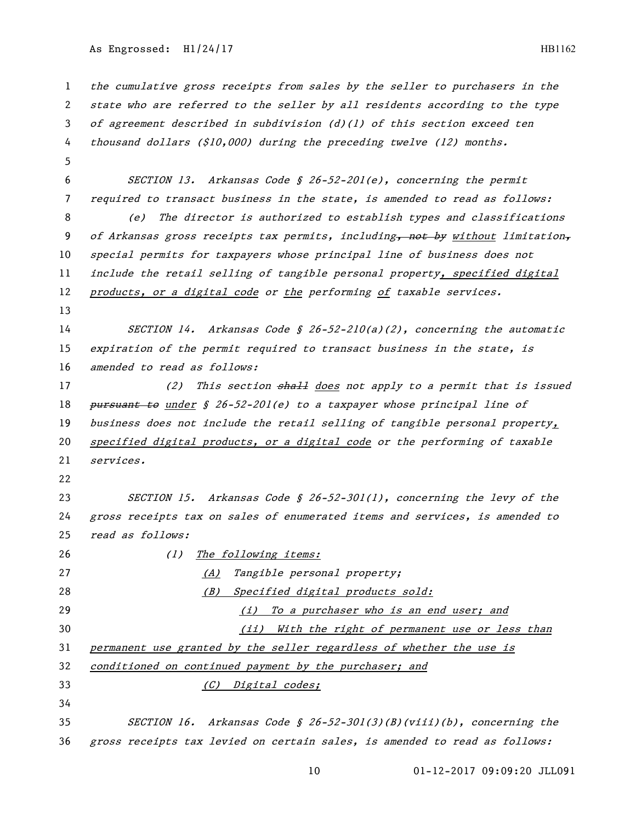the cumulative gross receipts from sales by the seller to purchasers in the state who are referred to the seller by all residents according to the type of agreement described in subdivision (d)(1) of this section exceed ten thousand dollars (\$10,000) during the preceding twelve (12) months. SECTION 13. Arkansas Code § 26-52-201(e), concerning the permit required to transact business in the state, is amended to read as follows: (e) The director is authorized to establish types and classifications 9 of Arkansas gross receipts tax permits, including<del>, not by</del> without limitation, special permits for taxpayers whose principal line of business does not include the retail selling of tangible personal property, specified digital 12 products, or a digital code or the performing of taxable services. SECTION 14. Arkansas Code § 26-52-210(a)(2), concerning the automatic expiration of the permit required to transact business in the state, is 16 amended to read as follows: 17 (2) This section shall does not apply to a permit that is issued 18 pursuant to under  $\oint$  26-52-201(e) to a taxpayer whose principal line of 19 business does not include the retail selling of tangible personal property, specified digital products, or a digital code or the performing of taxable services. SECTION 15. Arkansas Code § 26-52-301(1), concerning the levy of the gross receipts tax on sales of enumerated items and services, is amended to read as follows: 26 (1) The following items: 27 (A) Tangible personal property; 28 (B) Specified digital products sold: (i) To a purchaser who is an end user; and 30 (ii) With the right of permanent use or less than permanent use granted by the seller regardless of whether the use is conditioned on continued payment by the purchaser; and (C) Digital codes; SECTION 16. Arkansas Code § 26-52-301(3)(B)(viii)(b), concerning the gross receipts tax levied on certain sales, is amended to read as follows: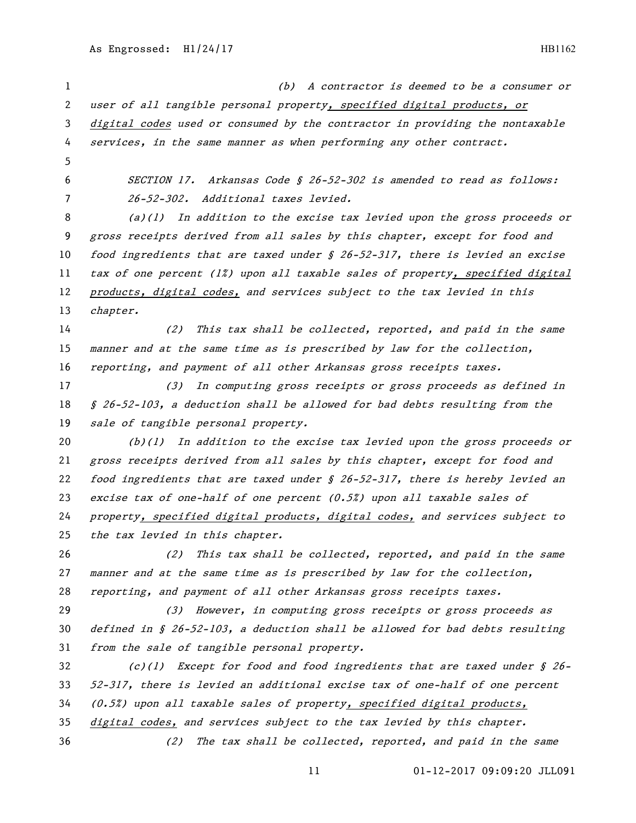(b) A contractor is deemed to be a consumer or user of all tangible personal property, specified digital products, or digital codes used or consumed by the contractor in providing the nontaxable services, in the same manner as when performing any other contract. SECTION 17. Arkansas Code § 26-52-302 is amended to read as follows: 26-52-302. Additional taxes levied. (a)(1) In addition to the excise tax levied upon the gross proceeds or gross receipts derived from all sales by this chapter, except for food and 10 food ingredients that are taxed under § 26-52-317, there is levied an excise tax of one percent (1%) upon all taxable sales of property, specified digital products, digital codes, and services subject to the tax levied in this chapter. (2) This tax shall be collected, reported, and paid in the same manner and at the same time as is prescribed by law for the collection, reporting, and payment of all other Arkansas gross receipts taxes. (3) In computing gross receipts or gross proceeds as defined in § 26-52-103, a deduction shall be allowed for bad debts resulting from the sale of tangible personal property.  $(b)(1)$  In addition to the excise tax levied upon the gross proceeds or gross receipts derived from all sales by this chapter, except for food and 22 food ingredients that are taxed under  $\frac{1}{2}$  26-52-317, there is hereby levied an 23 excise tax of one-half of one percent  $(0.5%)$  upon all taxable sales of property, specified digital products, digital codes, and services subject to 25 the tax levied in this chapter. (2) This tax shall be collected, reported, and paid in the same manner and at the same time as is prescribed by law for the collection, reporting, and payment of all other Arkansas gross receipts taxes. 29 (3) However, in computing gross receipts or gross proceeds as defined in § 26-52-103, a deduction shall be allowed for bad debts resulting from the sale of tangible personal property. (c)(1) Except for food and food ingredients that are taxed under § 26- 52-317, there is levied an additional excise tax of one-half of one percent (0.5%) upon all taxable sales of property, specified digital products, digital codes, and services subject to the tax levied by this chapter. (2) The tax shall be collected, reported, and paid in the same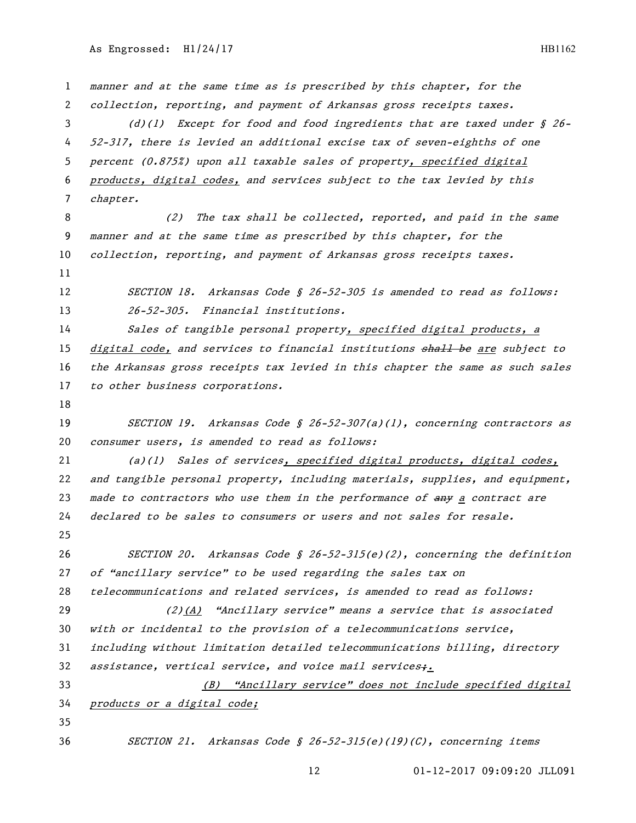manner and at the same time as is prescribed by this chapter, for the collection, reporting, and payment of Arkansas gross receipts taxes. (d)(1) Except for food and food ingredients that are taxed under § 26- 52-317, there is levied an additional excise tax of seven-eighths of one percent (0.875%) upon all taxable sales of property, specified digital products, digital codes, and services subject to the tax levied by this chapter. (2) The tax shall be collected, reported, and paid in the same manner and at the same time as prescribed by this chapter, for the 10 collection, reporting, and payment of Arkansas gross receipts taxes. 12 SECTION 18. Arkansas Code § 26-52-305 is amended to read as follows: 26-52-305. Financial institutions. 14 Sales of tangible personal property, specified digital products, a 15 digital code, and services to financial institutions shall be are subject to the Arkansas gross receipts tax levied in this chapter the same as such sales to other business corporations. SECTION 19. Arkansas Code § 26-52-307(a)(1), concerning contractors as consumer users, is amended to read as follows: (a)(1) Sales of services, specified digital products, digital codes, and tangible personal property, including materials, supplies, and equipment, 23 made to contractors who use them in the performance of  $\frac{1}{2}$  a contract are declared to be sales to consumers or users and not sales for resale. SECTION 20. Arkansas Code § 26-52-315(e)(2), concerning the definition of "ancillary service" to be used regarding the sales tax on telecommunications and related services, is amended to read as follows: (2)(A) "Ancillary service" means a service that is associated with or incidental to the provision of a telecommunications service, including without limitation detailed telecommunications billing, directory 32 assistance, vertical service, and voice mail services $\ddot{x}$ . (B) "Ancillary service" does not include specified digital products or a digital code; SECTION 21. Arkansas Code § 26-52-315(e)(19)(C), concerning items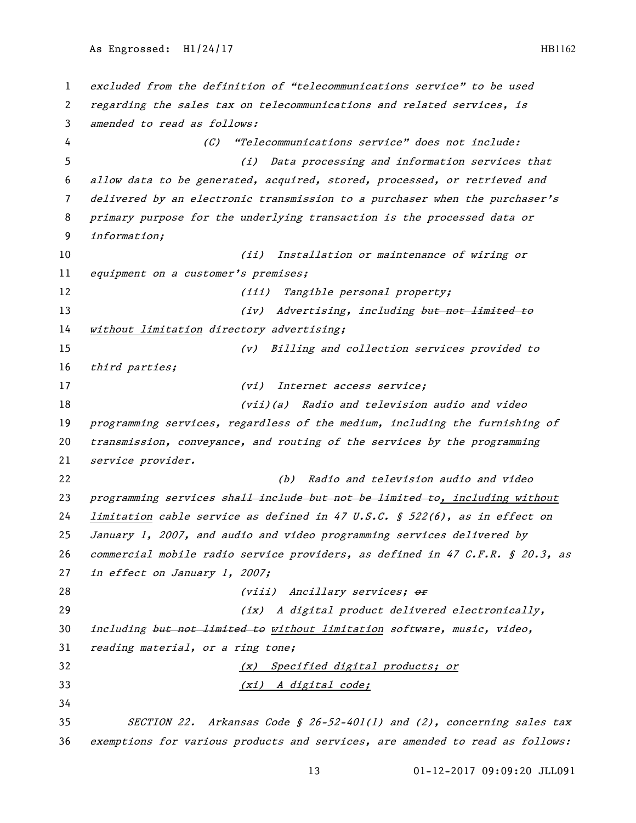excluded from the definition of "telecommunications service" to be used regarding the sales tax on telecommunications and related services, is amended to read as follows: (C) "Telecommunications service" does not include: (i) Data processing and information services that allow data to be generated, acquired, stored, processed, or retrieved and delivered by an electronic transmission to a purchaser when the purchaser's primary purpose for the underlying transaction is the processed data or information; (ii) Installation or maintenance of wiring or 11 equipment on a customer's premises; 12 (iii) Tangible personal property; 13 (iv) Advertising, including but not limited to without limitation directory advertising; (v) Billing and collection services provided to third parties; 17 (vi) Internet access service; (vii)(a) Radio and television audio and video programming services, regardless of the medium, including the furnishing of transmission, conveyance, and routing of the services by the programming service provider. (b) Radio and television audio and video 23 programming services shall include but not be limited to, including without limitation cable service as defined in 47 U.S.C. § 522(6), as in effect on January 1, 2007, and audio and video programming services delivered by commercial mobile radio service providers, as defined in 47 C.F.R. § 20.3, as 27 in effect on January 1, 2007; 28 (viii) Ancillary services; or (ix) A digital product delivered electronically, 30 including but not limited to without limitation software, music, video, 31 reading material, or a ring tone; (x) Specified digital products; or (xi) A digital code; SECTION 22. Arkansas Code § 26-52-401(1) and (2), concerning sales tax exemptions for various products and services, are amended to read as follows: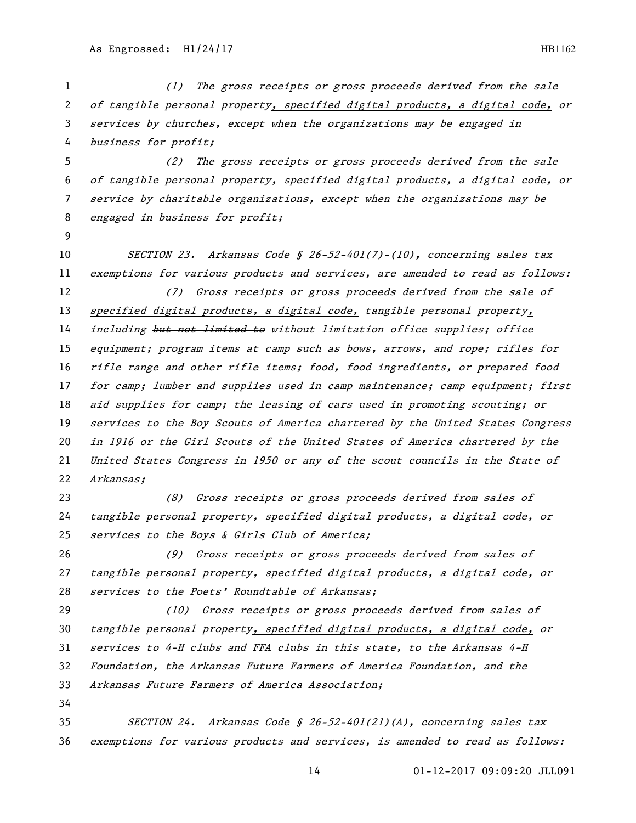(1) The gross receipts or gross proceeds derived from the sale of tangible personal property, specified digital products, a digital code, or services by churches, except when the organizations may be engaged in business for profit; (2) The gross receipts or gross proceeds derived from the sale of tangible personal property, specified digital products, a digital code, or service by charitable organizations, except when the organizations may be engaged in business for profit; SECTION 23. Arkansas Code § 26-52-401(7)-(10), concerning sales tax 11 exemptions for various products and services, are amended to read as follows: (7) Gross receipts or gross proceeds derived from the sale of 13 specified digital products, a digital code, tangible personal property, 14 including but not limited to without limitation office supplies; office equipment; program items at camp such as bows, arrows, and rope; rifles for rifle range and other rifle items; food, food ingredients, or prepared food 17 for camp; lumber and supplies used in camp maintenance; camp equipment; first aid supplies for camp; the leasing of cars used in promoting scouting; or 19 services to the Boy Scouts of America chartered by the United States Congress in 1916 or the Girl Scouts of the United States of America chartered by the United States Congress in 1950 or any of the scout councils in the State of Arkansas; (8) Gross receipts or gross proceeds derived from sales of tangible personal property, specified digital products, a digital code, or services to the Boys & Girls Club of America; (9) Gross receipts or gross proceeds derived from sales of 27 tangible personal property, specified digital products, a digital code, or services to the Poets' Roundtable of Arkansas; (10) Gross receipts or gross proceeds derived from sales of tangible personal property, specified digital products, a digital code, or services to 4-H clubs and FFA clubs in this state, to the Arkansas 4-H Foundation, the Arkansas Future Farmers of America Foundation, and the Arkansas Future Farmers of America Association; SECTION 24. Arkansas Code § 26-52-401(21)(A), concerning sales tax exemptions for various products and services, is amended to read as follows: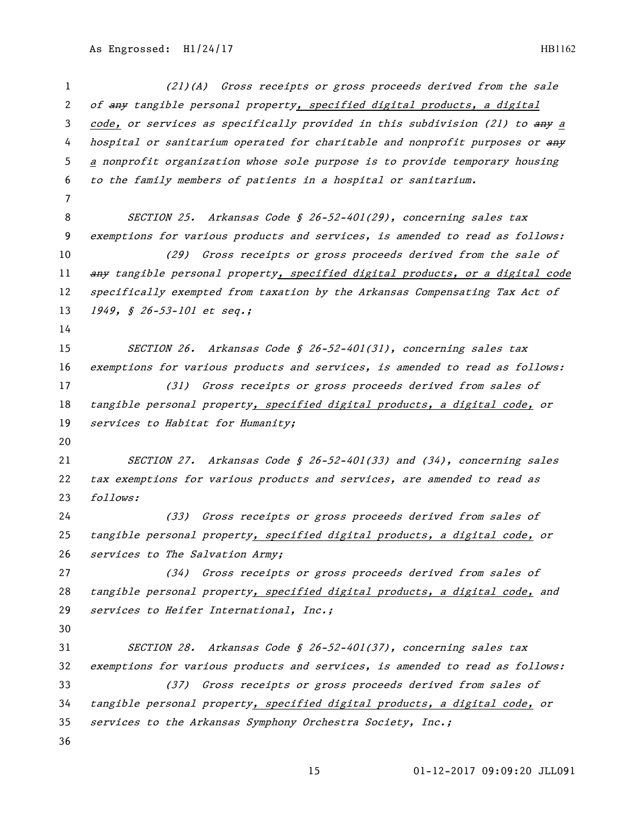(21)(A) Gross receipts or gross proceeds derived from the sale 2 of any tangible personal property, specified digital products, a digital 3 code, or services as specifically provided in this subdivision (21) to any a 4 hospital or sanitarium operated for charitable and nonprofit purposes or any <sup>a</sup> nonprofit organization whose sole purpose is to provide temporary housing to the family members of patients in a hospital or sanitarium. SECTION 25. Arkansas Code § 26-52-401(29), concerning sales tax exemptions for various products and services, is amended to read as follows: (29) Gross receipts or gross proceeds derived from the sale of 11 any tangible personal property, specified digital products, or a digital code 12 specifically exempted from taxation by the Arkansas Compensating Tax Act of 13 1949, § 26-53-101 et seq.; SECTION 26. Arkansas Code § 26-52-401(31), concerning sales tax exemptions for various products and services, is amended to read as follows: (31) Gross receipts or gross proceeds derived from sales of tangible personal property, specified digital products, a digital code, or 19 services to Habitat for Humanity; SECTION 27. Arkansas Code § 26-52-401(33) and (34), concerning sales tax exemptions for various products and services, are amended to read as follows: (33) Gross receipts or gross proceeds derived from sales of tangible personal property, specified digital products, a digital code, or services to The Salvation Army; (34) Gross receipts or gross proceeds derived from sales of tangible personal property, specified digital products, a digital code, and services to Heifer International, Inc.; SECTION 28. Arkansas Code § 26-52-401(37), concerning sales tax exemptions for various products and services, is amended to read as follows: (37) Gross receipts or gross proceeds derived from sales of tangible personal property, specified digital products, a digital code, or services to the Arkansas Symphony Orchestra Society, Inc.;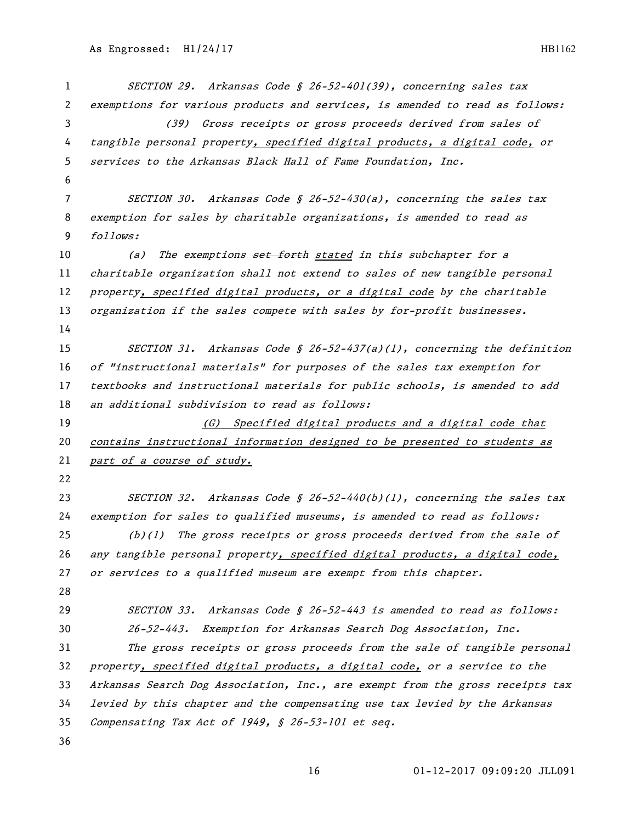| $\mathbf{1}$ | SECTION 29. Arkansas Code § 26-52-401(39), concerning sales tax               |
|--------------|-------------------------------------------------------------------------------|
| 2            | exemptions for various products and services, is amended to read as follows:  |
| 3            | Gross receipts or gross proceeds derived from sales of<br>(39)                |
| 4            | tangible personal property, specified digital products, a digital code, or    |
| 5            | services to the Arkansas Black Hall of Fame Foundation, Inc.                  |
| 6            |                                                                               |
| 7            | SECTION 30. Arkansas Code § 26-52-430(a), concerning the sales tax            |
| 8            | exemption for sales by charitable organizations, is amended to read as        |
| 9            | follows:                                                                      |
| 10           | The exemptions set forth stated in this subchapter for a<br>(a)               |
| 11           | charitable organization shall not extend to sales of new tangible personal    |
| 12           | property, specified digital products, or a digital code by the charitable     |
| 13           | organization if the sales compete with sales by for-profit businesses.        |
| 14           |                                                                               |
| 15           | SECTION 31. Arkansas Code § 26-52-437(a)(1), concerning the definition        |
| 16           | of "instructional materials" for purposes of the sales tax exemption for      |
| 17           | textbooks and instructional materials for public schools, is amended to add   |
| 18           | an additional subdivision to read as follows:                                 |
| 19           | Specified digital products and a digital code that<br>(G)                     |
| 20           | contains instructional information designed to be presented to students as    |
| 21           | part of a course of study.                                                    |
| 22           |                                                                               |
| 23           | SECTION 32. Arkansas Code § 26-52-440(b)(1), concerning the sales tax         |
| 24           | exemption for sales to qualified museums, is amended to read as follows:      |
| 25           | $(b)(1)$ The gross receipts or gross proceeds derived from the sale of        |
| 26           | any tangible personal property, specified digital products, a digital code,   |
| 27           | or services to a qualified museum are exempt from this chapter.               |
| 28           |                                                                               |
| 29           | SECTION 33. Arkansas Code § 26-52-443 is amended to read as follows:          |
| 30           | 26-52-443. Exemption for Arkansas Search Dog Association, Inc.                |
| 31           | The gross receipts or gross proceeds from the sale of tangible personal       |
| 32           | property, specified digital products, a digital code, or a service to the     |
| 33           | Arkansas Search Dog Association, Inc., are exempt from the gross receipts tax |
| 34           | levied by this chapter and the compensating use tax levied by the Arkansas    |
| 35           | Compensating Tax Act of 1949, § 26-53-101 et seq.                             |
| 36           |                                                                               |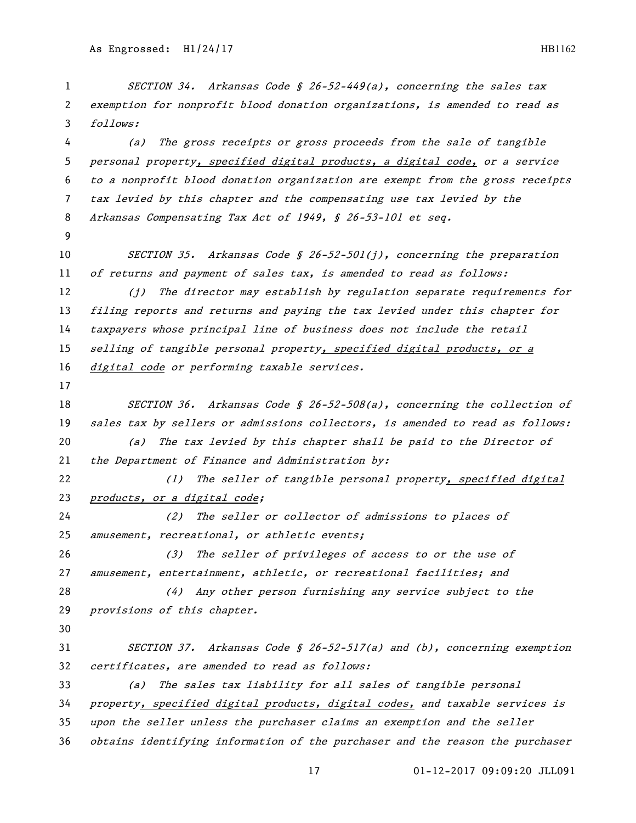01-12-2017 09:09:20 JLL091 exemption for nonprofit blood donation organizations, is amended to read as follows: (a) The gross receipts or gross proceeds from the sale of tangible personal property, specified digital products, a digital code, or a service to a nonprofit blood donation organization are exempt from the gross receipts tax levied by this chapter and the compensating use tax levied by the Arkansas Compensating Tax Act of 1949, § 26-53-101 et seq. 10 SECTION 35. Arkansas Code § 26-52-501(j), concerning the preparation of returns and payment of sales tax, is amended to read as follows: (j) The director may establish by regulation separate requirements for filing reports and returns and paying the tax levied under this chapter for taxpayers whose principal line of business does not include the retail 15 selling of tangible personal property, specified digital products, or a digital code or performing taxable services. 18 SECTION 36. Arkansas Code § 26-52-508(a), concerning the collection of 19 sales tax by sellers or admissions collectors, is amended to read as follows: (a) The tax levied by this chapter shall be paid to the Director of 21 the Department of Finance and Administration by: (1) The seller of tangible personal property, specified digital *products, or a digital code;*  (2) The seller or collector of admissions to places of amusement, recreational, or athletic events; (3) The seller of privileges of access to or the use of amusement, entertainment, athletic, or recreational facilities; and (4) Any other person furnishing any service subject to the provisions of this chapter. SECTION 37. Arkansas Code § 26-52-517(a) and (b), concerning exemption certificates, are amended to read as follows: (a) The sales tax liability for all sales of tangible personal property, specified digital products, digital codes, and taxable services is upon the seller unless the purchaser claims an exemption and the seller obtains identifying information of the purchaser and the reason the purchaser

1 SECTION 34. Arkansas Code § 26-52-449(a), concerning the sales tax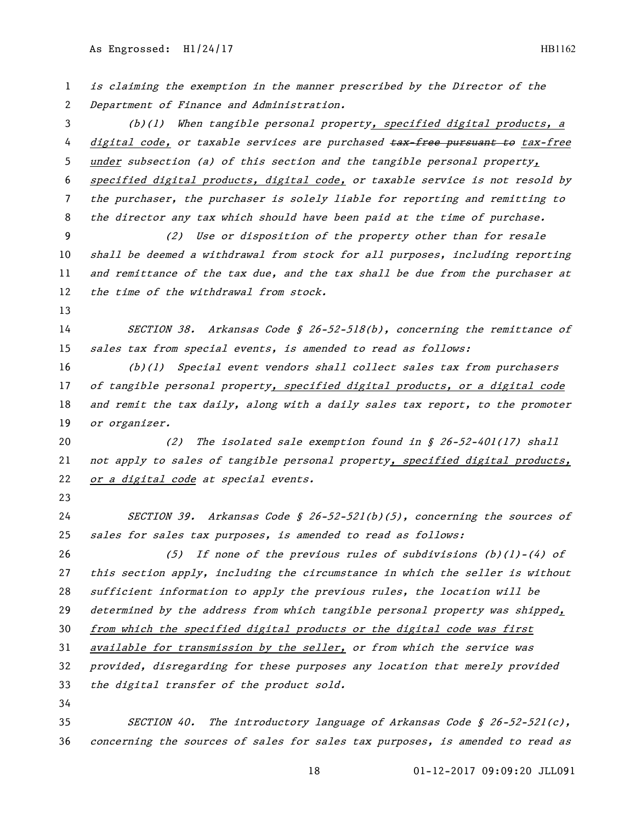is claiming the exemption in the manner prescribed by the Director of the Department of Finance and Administration. 3 (b)(1) When tangible personal property, specified digital products, a 4 digital code, or taxable services are purchased tax-free pursuant to tax-free under subsection (a) of this section and the tangible personal property, specified digital products, digital code, or taxable service is not resold by the purchaser, the purchaser is solely liable for reporting and remitting to the director any tax which should have been paid at the time of purchase. (2) Use or disposition of the property other than for resale shall be deemed a withdrawal from stock for all purposes, including reporting 11 and remittance of the tax due, and the tax shall be due from the purchaser at 12 the time of the withdrawal from stock. SECTION 38. Arkansas Code § 26-52-518(b), concerning the remittance of sales tax from special events, is amended to read as follows: (b)(1) Special event vendors shall collect sales tax from purchasers of tangible personal property, specified digital products, or a digital code 18 and remit the tax daily, along with a daily sales tax report, to the promoter 19 or organizer. (2) The isolated sale exemption found in § 26-52-401(17) shall 21 not apply to sales of tangible personal property, specified digital products, 22 or a digital code at special events. SECTION 39. Arkansas Code § 26-52-521(b)(5), concerning the sources of sales for sales tax purposes, is amended to read as follows: (5) If none of the previous rules of subdivisions (b)(1)-(4) of this section apply, including the circumstance in which the seller is without sufficient information to apply the previous rules, the location will be determined by the address from which tangible personal property was shipped, 30 from which the specified digital products or the digital code was first available for transmission by the seller, or from which the service was provided, disregarding for these purposes any location that merely provided the digital transfer of the product sold. SECTION 40. The introductory language of Arkansas Code § 26-52-521(c), concerning the sources of sales for sales tax purposes, is amended to read as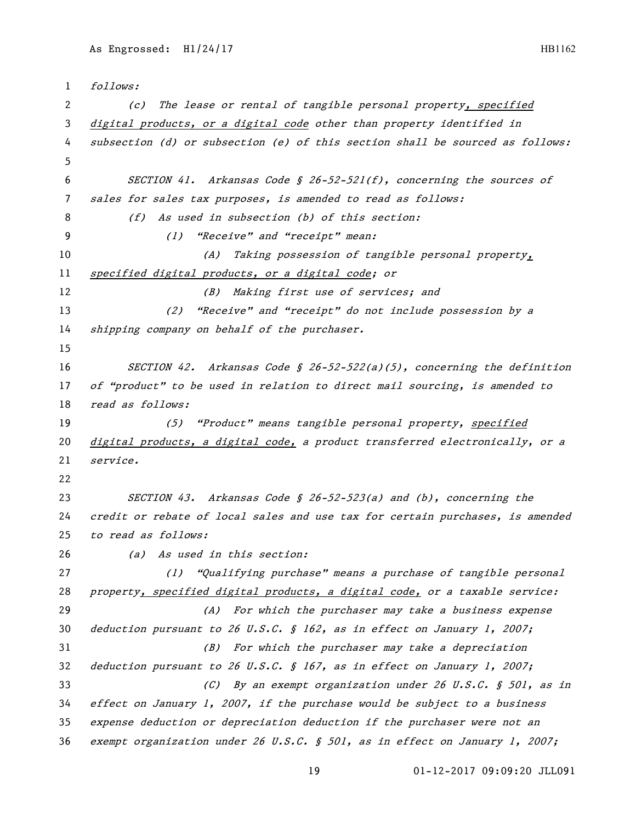```
1 follows:
 2 (c) The lease or rental of tangible personal property, specified 
 3 digital products, or a digital code other than property identified in 
 4 subsection (d) or subsection (e) of this section shall be sourced as follows:
 5
 6 SECTION 41. Arkansas Code § 26-52-521(f), concerning the sources of 
7 sales for sales tax purposes, is amended to read as follows:
8 (f) As used in subsection (b) of this section:
9 (1) "Receive" and "receipt" mean:
10 (A) Taking possession of tangible personal property, 
11 specified digital products, or a digital code; or
12 (B) Making first use of services; and
13 (2) "Receive" and "receipt" do not include possession by a 
14 shipping company on behalf of the purchaser.
15
16 SECTION 42. Arkansas Code § 26-52-522(a)(5), concerning the definition 
17 of "product" to be used in relation to direct mail sourcing, is amended to
18 read as follows:
19 (5) "Product" means tangible personal property, specified 
20 digital products, a digital code, a product transferred electronically, or a 
21 service.
22
23 SECTION 43. Arkansas Code § 26-52-523(a) and (b), concerning the 
24 credit or rebate of local sales and use tax for certain purchases, is amended 
25 to read as follows:
26 (a) As used in this section:
27 (1) "Qualifying purchase" means a purchase of tangible personal 
28 property, specified digital products, a digital code, or a taxable service:
29 (A) For which the purchaser may take a business expense 
30 deduction pursuant to 26 U.S.C. § 162, as in effect on January 1, 2007;
31 (B) For which the purchaser may take a depreciation 
32 deduction pursuant to 26 U.S.C. § 167, as in effect on January 1, 2007;
33 (C) By an exempt organization under 26 U.S.C. § 501, as in 
34 effect on January 1, 2007, if the purchase would be subject to a business 
35 expense deduction or depreciation deduction if the purchaser were not an 
36 exempt organization under 26 U.S.C. § 501, as in effect on January 1, 2007;
```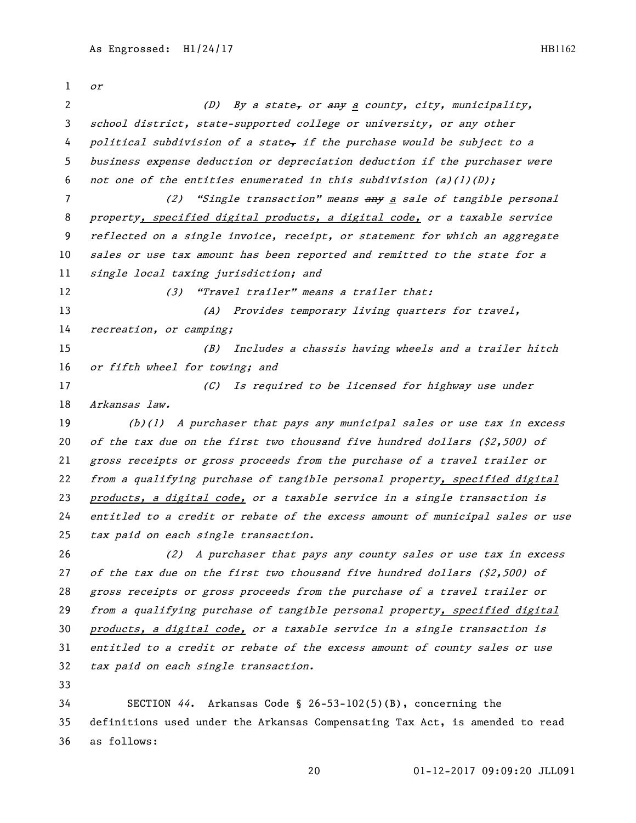or 2 (D) By a state, or any a county, city, municipality, school district, state-supported college or university, or any other 4 political subdivision of a state, if the purchase would be subject to a business expense deduction or depreciation deduction if the purchaser were 6 not one of the entities enumerated in this subdivision (a)(1)(D); 7 (2) "Single transaction" means any a sale of tangible personal 8 property, specified digital products, a digital code, or a taxable service reflected on a single invoice, receipt, or statement for which an aggregate sales or use tax amount has been reported and remitted to the state for a single local taxing jurisdiction; and 12 (3) "Travel trailer" means a trailer that: 13 (A) Provides temporary living quarters for travel, recreation, or camping; (B) Includes a chassis having wheels and a trailer hitch or fifth wheel for towing; and 17 (C) Is required to be licensed for highway use under Arkansas law. (b)(1) A purchaser that pays any municipal sales or use tax in excess 20 of the tax due on the first two thousand five hundred dollars (\$2,500) of gross receipts or gross proceeds from the purchase of a travel trailer or from a qualifying purchase of tangible personal property, specified digital products, a digital code, or a taxable service in a single transaction is entitled to a credit or rebate of the excess amount of municipal sales or use tax paid on each single transaction. (2) A purchaser that pays any county sales or use tax in excess 27 of the tax due on the first two thousand five hundred dollars  $(52,500)$  of gross receipts or gross proceeds from the purchase of a travel trailer or 29 from a qualifying purchase of tangible personal property, specified digital 30 products, a digital code, or a taxable service in a single transaction is entitled to a credit or rebate of the excess amount of county sales or use tax paid on each single transaction. SECTION 44. Arkansas Code § 26-53-102(5)(B), concerning the definitions used under the Arkansas Compensating Tax Act, is amended to read as follows: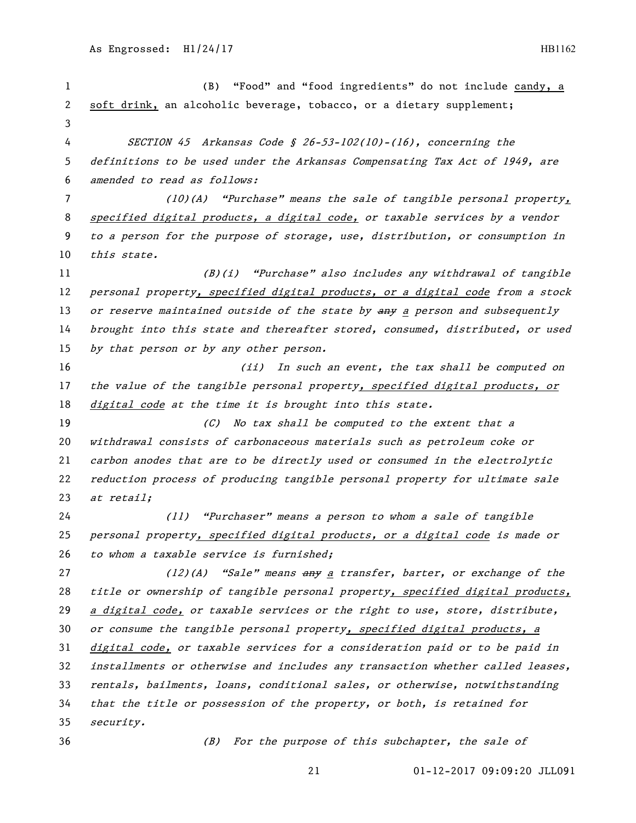(B) "Food" and "food ingredients" do not include candy, a soft drink, an alcoholic beverage, tobacco, or a dietary supplement; SECTION 45 Arkansas Code § 26-53-102(10)-(16), concerning the definitions to be used under the Arkansas Compensating Tax Act of 1949, are amended to read as follows: (10)(A) "Purchase" means the sale of tangible personal property, 8 specified digital products, a digital code, or taxable services by a vendor to a person for the purpose of storage, use, distribution, or consumption in 10 this state. (B)(i) "Purchase" also includes any withdrawal of tangible personal property, specified digital products, or a digital code from a stock 13 or reserve maintained outside of the state by any a person and subsequently brought into this state and thereafter stored, consumed, distributed, or used 15 by that person or by any other person. 16 16 16 (ii) In such an event, the tax shall be computed on the value of the tangible personal property, specified digital products, or 18 digital code at the time it is brought into this state. (C) No tax shall be computed to the extent that a withdrawal consists of carbonaceous materials such as petroleum coke or carbon anodes that are to be directly used or consumed in the electrolytic reduction process of producing tangible personal property for ultimate sale 23 at retail; (11) "Purchaser" means a person to whom a sale of tangible personal property, specified digital products, or a digital code is made or 26 to whom a taxable service is furnished; 27 (12)(A) "Sale" means any a transfer, barter, or exchange of the title or ownership of tangible personal property, specified digital products, 29 a digital code, or taxable services or the right to use, store, distribute, 30 or consume the tangible personal property, specified digital products, a digital code, or taxable services for a consideration paid or to be paid in installments or otherwise and includes any transaction whether called leases, rentals, bailments, loans, conditional sales, or otherwise, notwithstanding that the title or possession of the property, or both, is retained for security. (B) For the purpose of this subchapter, the sale of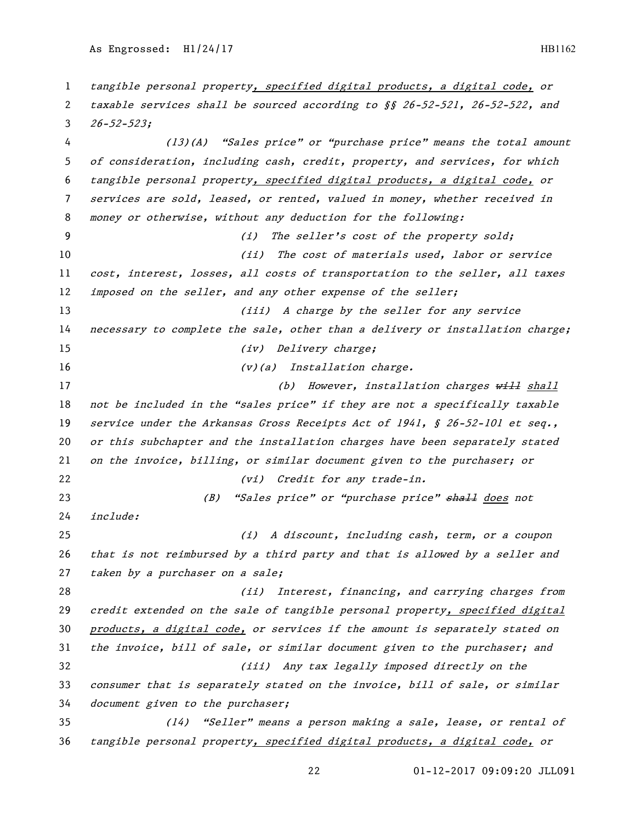tangible personal property, specified digital products, a digital code, or taxable services shall be sourced according to §§ 26-52-521, 26-52-522, and  $3 \quad 26 - 52 - 523;$  (13)(A) "Sales price" or "purchase price" means the total amount of consideration, including cash, credit, property, and services, for which tangible personal property, specified digital products, a digital code, or services are sold, leased, or rented, valued in money, whether received in money or otherwise, without any deduction for the following: (i) The seller's cost of the property sold; 10 (ii) The cost of materials used, labor or service cost, interest, losses, all costs of transportation to the seller, all taxes 12 imposed on the seller, and any other expense of the seller; 13 (iii) A charge by the seller for any service 14 necessary to complete the sale, other than a delivery or installation charge; 15 (iv) Delivery charge; 16 (v)(a) Installation charge. 17 (b) However, installation charges will shall not be included in the "sales price" if they are not a specifically taxable 19 service under the Arkansas Gross Receipts Act of 1941, § 26-52-101 et seq., or this subchapter and the installation charges have been separately stated on the invoice, billing, or similar document given to the purchaser; or 22 (vi) Credit for any trade-in. 23 (B) "Sales price" or "purchase price" shall does not include: (i) A discount, including cash, term, or a coupon that is not reimbursed by a third party and that is allowed by a seller and 27 taken by a purchaser on a sale; (ii) Interest, financing, and carrying charges from credit extended on the sale of tangible personal property, specified digital 30 products, a digital code, or services if the amount is separately stated on the invoice, bill of sale, or similar document given to the purchaser; and (iii) Any tax legally imposed directly on the consumer that is separately stated on the invoice, bill of sale, or similar document given to the purchaser; (14) "Seller" means a person making a sale, lease, or rental of tangible personal property, specified digital products, a digital code, or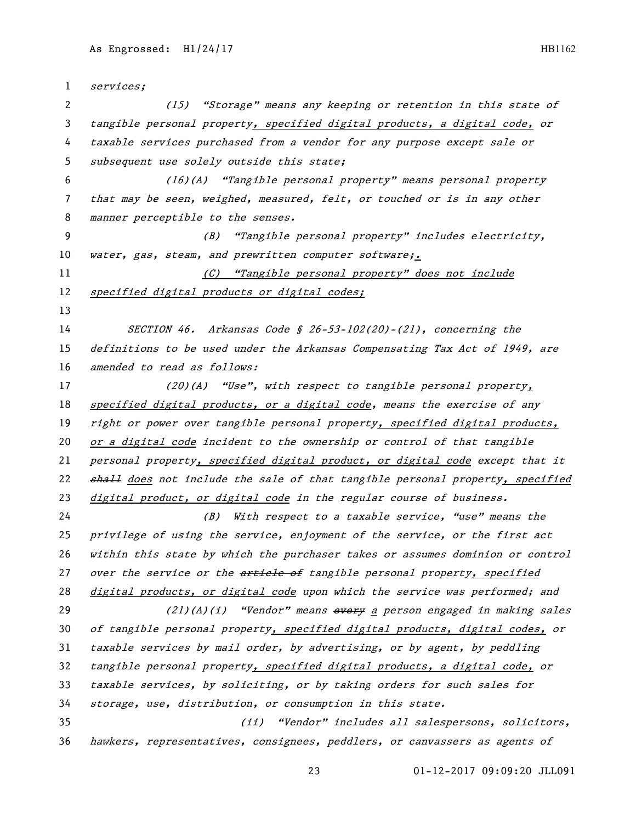| $\mathbf{1}$   | services;                                                                     |
|----------------|-------------------------------------------------------------------------------|
| 2              | (15) "Storage" means any keeping or retention in this state of                |
| 3              | tangible personal property, specified digital products, a digital code, or    |
| 4              | taxable services purchased from a vendor for any purpose except sale or       |
| 5              | subsequent use solely outside this state;                                     |
| 6              | (16)(A) "Tangible personal property" means personal property                  |
| $\overline{7}$ | that may be seen, weighed, measured, felt, or touched or is in any other      |
| 8              | manner perceptible to the senses.                                             |
| 9              | "Tangible personal property" includes electricity,<br>(B)                     |
| 10             | water, gas, steam, and prewritten computer software;.                         |
| 11             | "Tangible personal property" does not include<br>(C)                          |
| 12             | specified digital products or digital codes;                                  |
| 13             |                                                                               |
| 14             | SECTION 46. Arkansas Code § 26-53-102(20)-(21), concerning the                |
| 15             | definitions to be used under the Arkansas Compensating Tax Act of 1949, are   |
| 16             | amended to read as follows:                                                   |
| 17             | $(20)(A)$ "Use", with respect to tangible personal property,                  |
| 18             | specified digital products, or a digital code, means the exercise of any      |
| 19             | right or power over tangible personal property, specified digital products,   |
| 20             | or a digital code incident to the ownership or control of that tangible       |
| 21             | personal property, specified digital product, or digital code except that it  |
| 22             | shall does not include the sale of that tangible personal property, specified |
| 23             | digital product, or digital code in the regular course of business.           |
| 24             | With respect to a taxable service, "use" means the<br>(B)                     |
| 25             | privilege of using the service, enjoyment of the service, or the first act    |
| 26             | within this state by which the purchaser takes or assumes dominion or control |
| 27             | over the service or the article of tangible personal property, specified      |
| 28             | digital products, or digital code upon which the service was performed; and   |
| 29             | (21)(A)(i) "Vendor" means every a person engaged in making sales              |
| 30             | of tangible personal property, specified digital products, digital codes, or  |
| 31             | taxable services by mail order, by advertising, or by agent, by peddling      |
| 32             | tangible personal property, specified digital products, a digital code, or    |
| 33             | taxable services, by soliciting, or by taking orders for such sales for       |
| 34             | storage, use, distribution, or consumption in this state.                     |
| 35             | (ii) "Vendor" includes all salespersons, solicitors,                          |
| 36             | hawkers, representatives, consignees, peddlers, or canvassers as agents of    |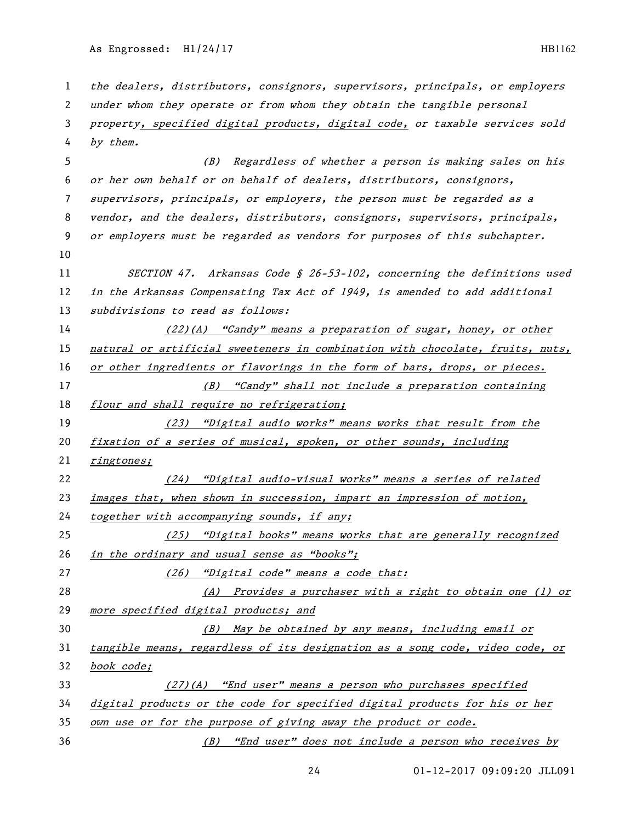the dealers, distributors, consignors, supervisors, principals, or employers under whom they operate or from whom they obtain the tangible personal property, specified digital products, digital code, or taxable services sold by them. (B) Regardless of whether a person is making sales on his or her own behalf or on behalf of dealers, distributors, consignors, supervisors, principals, or employers, the person must be regarded as a vendor, and the dealers, distributors, consignors, supervisors, principals, or employers must be regarded as vendors for purposes of this subchapter. SECTION 47. Arkansas Code § 26-53-102, concerning the definitions used in the Arkansas Compensating Tax Act of 1949, is amended to add additional 13 subdivisions to read as follows: (22)(A) "Candy" means a preparation of sugar, honey, or other natural or artificial sweeteners in combination with chocolate, fruits, nuts, or other ingredients or flavorings in the form of bars, drops, or pieces. (B) "Candy" shall not include a preparation containing *flour and shall require no refrigeration;*  (23) "Digital audio works" means works that result from the fixation of a series of musical, spoken, or other sounds, including ringtones; (24) "Digital audio-visual works" means a series of related images that, when shown in succession, impart an impression of motion, together with accompanying sounds, if any; (25) "Digital books" means works that are generally recognized in the ordinary and usual sense as "books"; 27 (26) "Digital code" means a code that: (A) Provides a purchaser with a right to obtain one (1) or more specified digital products; and (B) May be obtained by any means, including email or tangible means, regardless of its designation as a song code, video code, or book code; (27)(A) "End user" means a person who purchases specified digital products or the code for specified digital products for his or her own use or for the purpose of giving away the product or code. (B) "End user" does not include a person who receives by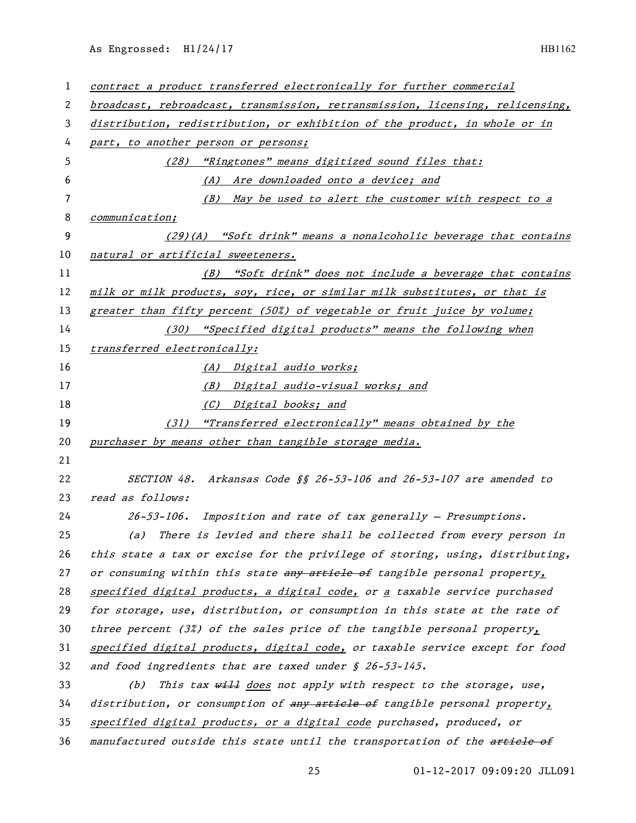| 1  | contract a product transferred electronically for further commercial          |
|----|-------------------------------------------------------------------------------|
| 2  | broadcast, rebroadcast, transmission, retransmission, licensing, relicensing, |
| 3  | distribution, redistribution, or exhibition of the product, in whole or in    |
| 4  | part, to another person or persons;                                           |
| 5  | (28) "Ringtones" means digitized sound files that:                            |
| 6  | (A) Are downloaded onto a device; and                                         |
| 7  | (B) May be used to alert the customer with respect to a                       |
| 8  | communication;                                                                |
| 9  | $(29)(A)$ "Soft drink" means a nonalcoholic beverage that contains            |
| 10 | natural or artificial sweeteners.                                             |
| 11 | (B) "Soft drink" does not include a beverage that contains                    |
| 12 | milk or milk products, soy, rice, or similar milk substitutes, or that is     |
| 13 | greater than fifty percent (50%) of vegetable or fruit juice by volume;       |
| 14 | (30) "Specified digital products" means the following when                    |
| 15 | transferred electronically:                                                   |
| 16 | (A) Digital audio works;                                                      |
| 17 | (B) Digital audio-visual works; and                                           |
| 18 | (C) Digital books; and                                                        |
| 19 | (31) "Transferred electronically" means obtained by the                       |
| 20 | purchaser by means other than tangible storage media.                         |
| 21 |                                                                               |
| 22 | SECTION 48. Arkansas Code §§ 26-53-106 and 26-53-107 are amended to           |
| 23 | read as follows:                                                              |
| 24 | $26-53-106$ . Imposition and rate of tax generally - Presumptions.            |
| 25 | (a) There is levied and there shall be collected from every person in         |
| 26 | this state a tax or excise for the privilege of storing, using, distributing, |
| 27 | or consuming within this state any article of tangible personal property,     |
| 28 | specified digital products, a digital code, or a taxable service purchased    |
| 29 | for storage, use, distribution, or consumption in this state at the rate of   |
| 30 | three percent (3%) of the sales price of the tangible personal property,      |
| 31 | specified digital products, digital code, or taxable service except for food  |
| 32 | and food ingredients that are taxed under $$26-53-145$ .                      |
| 33 | This tax will does not apply with respect to the storage, use,<br>(b)         |
| 34 | distribution, or consumption of any article of tangible personal property,    |
| 35 | specified digital products, or a digital code purchased, produced, or         |
| 36 | manufactured outside this state until the transportation of the artiele of    |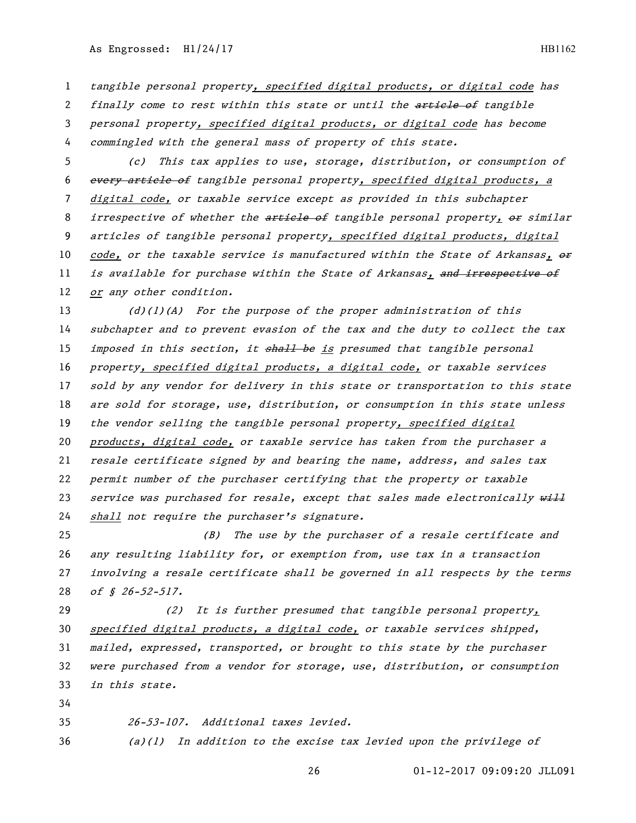tangible personal property, specified digital products, or digital code has

2 finally come to rest within this state or until the article of tangible personal property, specified digital products, or digital code has become commingled with the general mass of property of this state.

 (c) This tax applies to use, storage, distribution, or consumption of 6 every article of tangible personal property, specified digital products, a digital code, or taxable service except as provided in this subchapter 8 irrespective of whether the article of tangible personal property, or similar articles of tangible personal property, specified digital products, digital 10 code, or the taxable service is manufactured within the State of Arkansas,  $\theta$ 11 is available for purchase within the State of Arkansas, and irrespective of 12 or any other condition.

 (d)(1)(A) For the purpose of the proper administration of this subchapter and to prevent evasion of the tax and the duty to collect the tax 15 imposed in this section, it shall be is presumed that tangible personal property, specified digital products, a digital code, or taxable services sold by any vendor for delivery in this state or transportation to this state are sold for storage, use, distribution, or consumption in this state unless 19 the vendor selling the tangible personal property, specified digital products, digital code, or taxable service has taken from the purchaser a resale certificate signed by and bearing the name, address, and sales tax permit number of the purchaser certifying that the property or taxable 23 service was purchased for resale, except that sales made electronically will shall not require the purchaser's signature.

 (B) The use by the purchaser of a resale certificate and any resulting liability for, or exemption from, use tax in a transaction involving a resale certificate shall be governed in all respects by the terms 28 of § 26-52-517.

29 (2) It is further presumed that tangible personal property, 30 specified digital products, a digital code, or taxable services shipped, mailed, expressed, transported, or brought to this state by the purchaser were purchased from a vendor for storage, use, distribution, or consumption in this state.

26-53-107. Additional taxes levied.

 $(a)(1)$  In addition to the excise tax levied upon the privilege of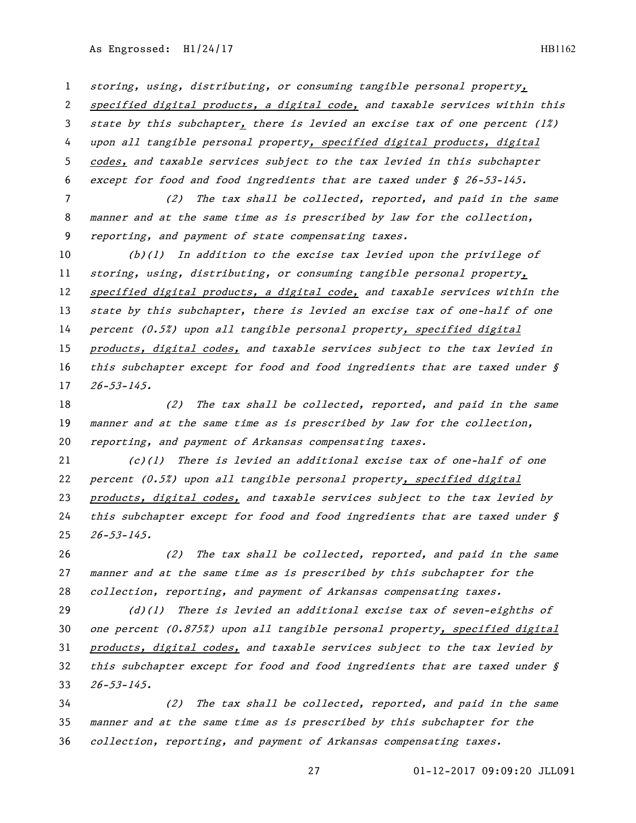storing, using, distributing, or consuming tangible personal property, specified digital products, a digital code, and taxable services within this state by this subchapter, there is levied an excise tax of one percent (1%) 4 upon all tangible personal property, specified digital products, digital codes, and taxable services subject to the tax levied in this subchapter except for food and food ingredients that are taxed under § 26-53-145.

 (2) The tax shall be collected, reported, and paid in the same manner and at the same time as is prescribed by law for the collection, reporting, and payment of state compensating taxes.

 (b)(1) In addition to the excise tax levied upon the privilege of 11 storing, using, distributing, or consuming tangible personal property, specified digital products, a digital code, and taxable services within the 13 state by this subchapter, there is levied an excise tax of one-half of one 14 percent (0.5%) upon all tangible personal property, specified digital 15 products, digital codes, and taxable services subject to the tax levied in 16 this subchapter except for food and food ingredients that are taxed under  $\hat{S}$ 26-53-145.

18 (2) The tax shall be collected, reported, and paid in the same manner and at the same time as is prescribed by law for the collection, reporting, and payment of Arkansas compensating taxes.

21  $(c)(1)$  There is levied an additional excise tax of one-half of one percent (0.5%) upon all tangible personal property, specified digital products, digital codes, and taxable services subject to the tax levied by 24 this subchapter except for food and food ingredients that are taxed under  $\oint$  $25 \quad 26 - 53 - 145.$ 

 (2) The tax shall be collected, reported, and paid in the same manner and at the same time as is prescribed by this subchapter for the collection, reporting, and payment of Arkansas compensating taxes.

29  $(d)(1)$  There is levied an additional excise tax of seven-eighths of 30 one percent (0.875%) upon all tangible personal property, specified digital products, digital codes, and taxable services subject to the tax levied by 32 this subchapter except for food and food ingredients that are taxed under  $\oint$ 26-53-145.

 (2) The tax shall be collected, reported, and paid in the same manner and at the same time as is prescribed by this subchapter for the collection, reporting, and payment of Arkansas compensating taxes.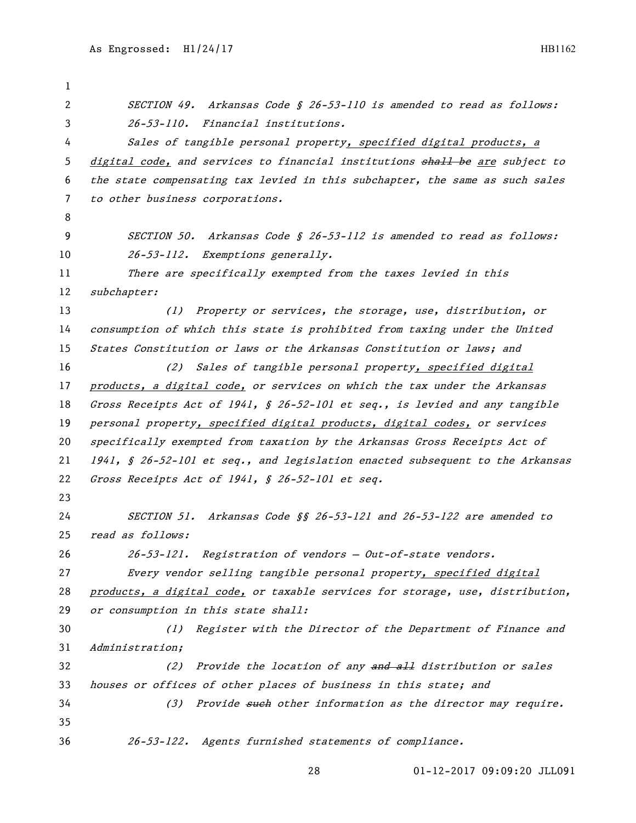SECTION 49. Arkansas Code § 26-53-110 is amended to read as follows: 26-53-110. Financial institutions. 4 Sales of tangible personal property, specified digital products, a 5 digital code, and services to financial institutions shall be are subject to the state compensating tax levied in this subchapter, the same as such sales to other business corporations. SECTION 50. Arkansas Code § 26-53-112 is amended to read as follows: 10 26-53-112. Exemptions generally. There are specifically exempted from the taxes levied in this subchapter: 13 (1) Property or services, the storage, use, distribution, or consumption of which this state is prohibited from taxing under the United States Constitution or laws or the Arkansas Constitution or laws; and (2) Sales of tangible personal property, specified digital products, a digital code, or services on which the tax under the Arkansas Gross Receipts Act of 1941, § 26-52-101 et seq., is levied and any tangible personal property, specified digital products, digital codes, or services specifically exempted from taxation by the Arkansas Gross Receipts Act of 1941, § 26-52-101 et seq., and legislation enacted subsequent to the Arkansas Gross Receipts Act of 1941, § 26-52-101 et seq. SECTION 51. Arkansas Code §§ 26-53-121 and 26-53-122 are amended to read as follows: 26-53-121. Registration of vendors — Out-of-state vendors. 27 Every vendor selling tangible personal property, specified digital products, a digital code, or taxable services for storage, use, distribution, or consumption in this state shall: (1) Register with the Director of the Department of Finance and Administration; 32 (2) Provide the location of any and all distribution or sales houses or offices of other places of business in this state; and 34 (3) Provide such other information as the director may require. 26-53-122. Agents furnished statements of compliance.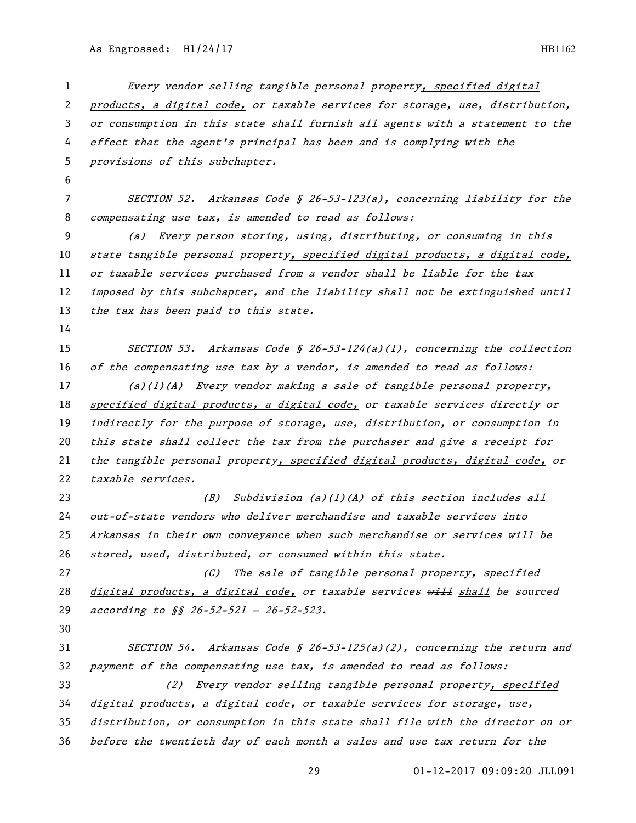Every vendor selling tangible personal property, specified digital products, a digital code, or taxable services for storage, use, distribution, or consumption in this state shall furnish all agents with a statement to the effect that the agent's principal has been and is complying with the provisions of this subchapter. SECTION 52. Arkansas Code § 26-53-123(a), concerning liability for the compensating use tax, is amended to read as follows: (a) Every person storing, using, distributing, or consuming in this state tangible personal property, specified digital products, a digital code, or taxable services purchased from a vendor shall be liable for the tax 12 imposed by this subchapter, and the liability shall not be extinguished until 13 the tax has been paid to this state. SECTION 53. Arkansas Code § 26-53-124(a)(1), concerning the collection of the compensating use tax by a vendor, is amended to read as follows: (a)(1)(A) Every vendor making a sale of tangible personal property, 18 specified digital products, a digital code, or taxable services directly or indirectly for the purpose of storage, use, distribution, or consumption in this state shall collect the tax from the purchaser and give a receipt for the tangible personal property, specified digital products, digital code, or taxable services. (B) Subdivision (a)(1)(A) of this section includes all out-of-state vendors who deliver merchandise and taxable services into Arkansas in their own conveyance when such merchandise or services will be stored, used, distributed, or consumed within this state. 27 (C) The sale of tangible personal property, specified 28 digital products, a digital code, or taxable services will shall be sourced 29 according to §§ 26-52-521 - 26-52-523. SECTION 54. Arkansas Code § 26-53-125(a)(2), concerning the return and payment of the compensating use tax, is amended to read as follows: (2) Every vendor selling tangible personal property, specified digital products, a digital code, or taxable services for storage, use, distribution, or consumption in this state shall file with the director on or before the twentieth day of each month a sales and use tax return for the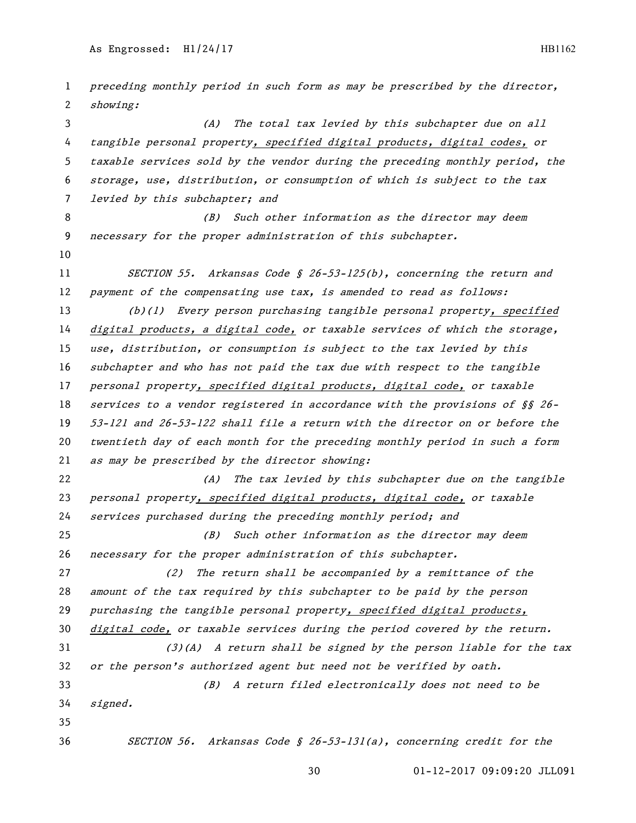preceding monthly period in such form as may be prescribed by the director, showing: (A) The total tax levied by this subchapter due on all 4 tangible personal property, specified digital products, digital codes, or taxable services sold by the vendor during the preceding monthly period, the storage, use, distribution, or consumption of which is subject to the tax 7 levied by this subchapter; and 8 (B) Such other information as the director may deem necessary for the proper administration of this subchapter. 11 SECTION 55. Arkansas Code § 26-53-125(b), concerning the return and 12 payment of the compensating use tax, is amended to read as follows: (b)(1) Every person purchasing tangible personal property, specified digital products, a digital code, or taxable services of which the storage, use, distribution, or consumption is subject to the tax levied by this subchapter and who has not paid the tax due with respect to the tangible personal property, specified digital products, digital code, or taxable services to a vendor registered in accordance with the provisions of §§ 26- 53-121 and 26-53-122 shall file a return with the director on or before the twentieth day of each month for the preceding monthly period in such a form as may be prescribed by the director showing: 22 (A) The tax levied by this subchapter due on the tangible personal property, specified digital products, digital code, or taxable services purchased during the preceding monthly period; and (B) Such other information as the director may deem necessary for the proper administration of this subchapter. (2) The return shall be accompanied by a remittance of the amount of the tax required by this subchapter to be paid by the person 29 purchasing the tangible personal property, specified digital products, digital code, or taxable services during the period covered by the return. (3)(A) A return shall be signed by the person liable for the tax or the person's authorized agent but need not be verified by oath. (B) A return filed electronically does not need to be signed. SECTION 56. Arkansas Code § 26-53-131(a), concerning credit for the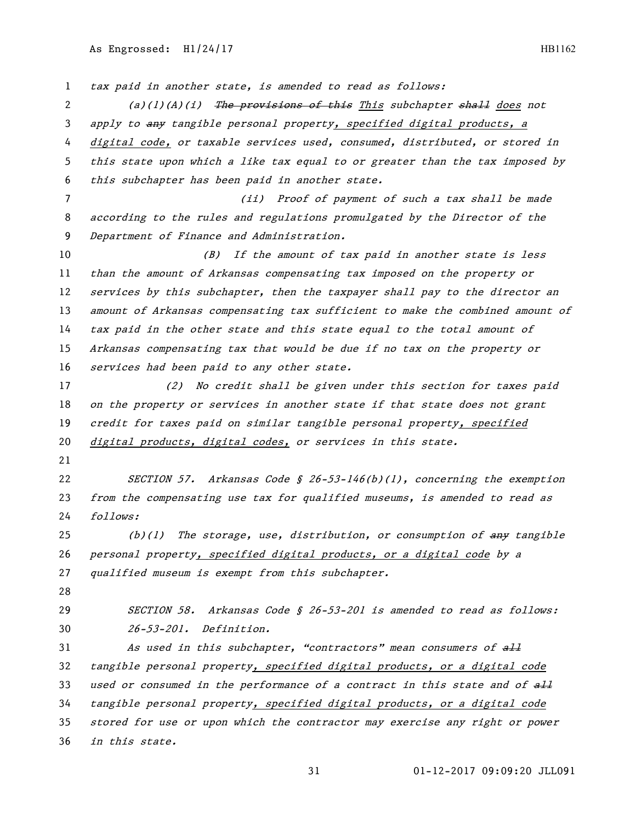tax paid in another state, is amended to read as follows: 2 (a)(1)(A)(i) The provisions of this This subchapter shall does not 3 apply to any tangible personal property, specified digital products, a digital code, or taxable services used, consumed, distributed, or stored in this state upon which a like tax equal to or greater than the tax imposed by this subchapter has been paid in another state. (ii) Proof of payment of such a tax shall be made according to the rules and regulations promulgated by the Director of the Department of Finance and Administration. 10 (B) If the amount of tax paid in another state is less than the amount of Arkansas compensating tax imposed on the property or 12 services by this subchapter, then the taxpayer shall pay to the director an 13 amount of Arkansas compensating tax sufficient to make the combined amount of tax paid in the other state and this state equal to the total amount of Arkansas compensating tax that would be due if no tax on the property or services had been paid to any other state. (2) No credit shall be given under this section for taxes paid 18 on the property or services in another state if that state does not grant 19 credit for taxes paid on similar tangible personal property, specified 20 digital products, digital codes, or services in this state. SECTION 57. Arkansas Code § 26-53-146(b)(1), concerning the exemption from the compensating use tax for qualified museums, is amended to read as follows:  $(b)(1)$  The storage, use, distribution, or consumption of  $\frac{a}{b}$  tangible personal property, specified digital products, or a digital code by a 27 qualified museum is exempt from this subchapter. SECTION 58. Arkansas Code § 26-53-201 is amended to read as follows: 26-53-201. Definition. As used in this subchapter, "contractors" mean consumers of all 32 tangible personal property, specified digital products, or a digital code 33 used or consumed in the performance of a contract in this state and of  $\frac{aH}{a}$  tangible personal property, specified digital products, or a digital code stored for use or upon which the contractor may exercise any right or power in this state.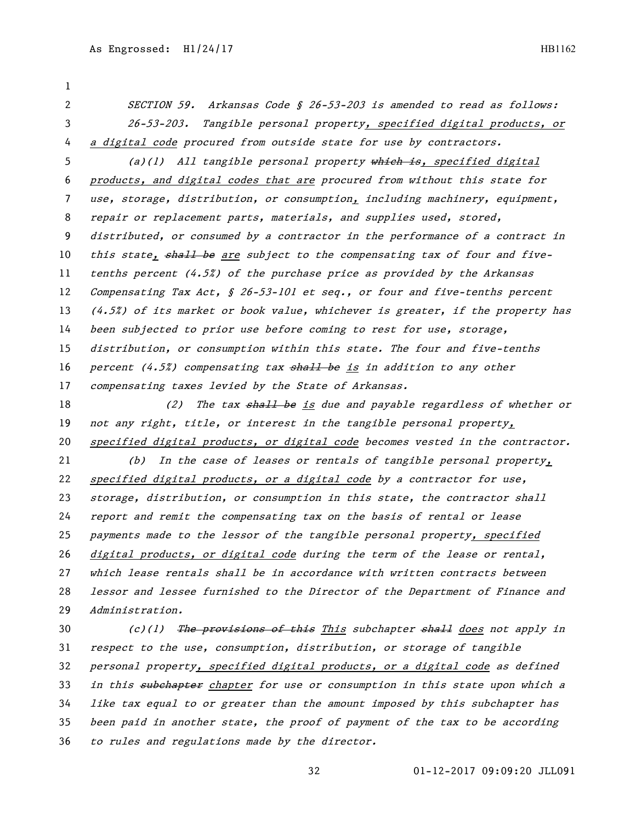SECTION 59. Arkansas Code § 26-53-203 is amended to read as follows: 26-53-203. Tangible personal property, specified digital products, or a digital code procured from outside state for use by contractors.

5 (a)(1) All tangible personal property which is, specified digital products, and digital codes that are procured from without this state for use, storage, distribution, or consumption, including machinery, equipment, repair or replacement parts, materials, and supplies used, stored, distributed, or consumed by a contractor in the performance of a contract in 10 this state, shall be are subject to the compensating tax of four and five- tenths percent (4.5%) of the purchase price as provided by the Arkansas 12 Compensating Tax Act, § 26-53-101 et seq., or four and five-tenths percent (4.5%) of its market or book value, whichever is greater, if the property has been subjected to prior use before coming to rest for use, storage, distribution, or consumption within this state. The four and five-tenths 16 percent  $(4.5\%)$  compensating tax shall be is in addition to any other compensating taxes levied by the State of Arkansas.

18 (2) The tax shall be is due and payable regardless of whether or 19 not any right, title, or interest in the tangible personal property, specified digital products, or digital code becomes vested in the contractor.

 (b) In the case of leases or rentals of tangible personal property, specified digital products, or a digital code by a contractor for use, storage, distribution, or consumption in this state, the contractor shall report and remit the compensating tax on the basis of rental or lease payments made to the lessor of the tangible personal property, specified digital products, or digital code during the term of the lease or rental, which lease rentals shall be in accordance with written contracts between lessor and lessee furnished to the Director of the Department of Finance and Administration.

30 (c)(1) The provisions of this This subchapter shall does not apply in respect to the use, consumption, distribution, or storage of tangible 32 personal property, specified digital products, or a digital code as defined 33 in this subchapter chapter for use or consumption in this state upon which a like tax equal to or greater than the amount imposed by this subchapter has been paid in another state, the proof of payment of the tax to be according to rules and regulations made by the director.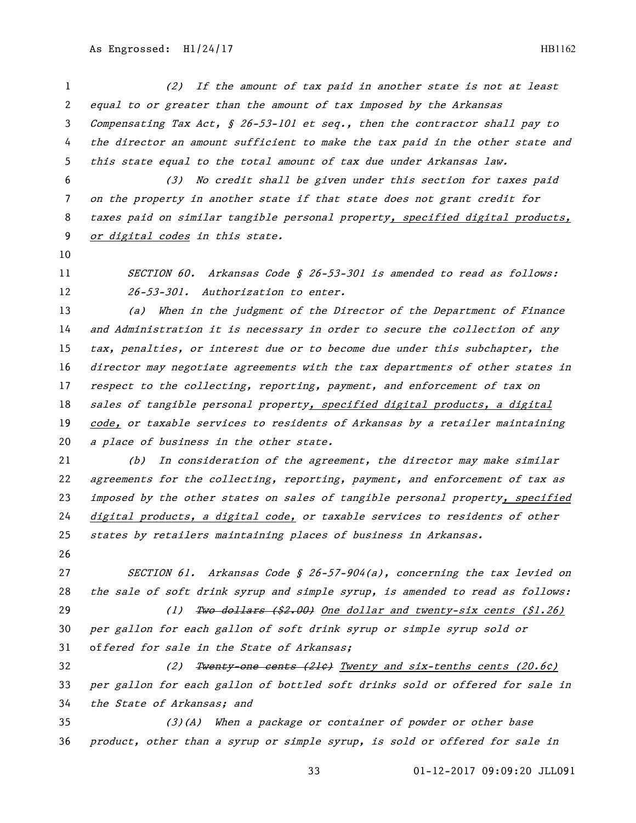(2) If the amount of tax paid in another state is not at least equal to or greater than the amount of tax imposed by the Arkansas Compensating Tax Act, § 26-53-101 et seq., then the contractor shall pay to the director an amount sufficient to make the tax paid in the other state and this state equal to the total amount of tax due under Arkansas law.

 (3) No credit shall be given under this section for taxes paid on the property in another state if that state does not grant credit for taxes paid on similar tangible personal property, specified digital products, or digital codes in this state.

11 SECTION 60. Arkansas Code § 26-53-301 is amended to read as follows: 12 26-53-301. Authorization to enter.

 (a) When in the judgment of the Director of the Department of Finance and Administration it is necessary in order to secure the collection of any tax, penalties, or interest due or to become due under this subchapter, the director may negotiate agreements with the tax departments of other states in 17 respect to the collecting, reporting, payment, and enforcement of tax on 18 sales of tangible personal property, specified digital products, a digital code, or taxable services to residents of Arkansas by a retailer maintaining 20 a place of business in the other state.

 (b) In consideration of the agreement, the director may make similar agreements for the collecting, reporting, payment, and enforcement of tax as 23 imposed by the other states on sales of tangible personal property, specified digital products, a digital code, or taxable services to residents of other states by retailers maintaining places of business in Arkansas.

 SECTION 61. Arkansas Code § 26-57-904(a), concerning the tax levied on 28 the sale of soft drink syrup and simple syrup, is amended to read as follows: 29 (1) Two dollars (\$2.00) One dollar and twenty-six cents (\$1.26) per gallon for each gallon of soft drink syrup or simple syrup sold or offered for sale in the State of Arkansas;

32 (2) Twenty-one cents (21¢) Twenty and six-tenths cents (20.6¢) per gallon for each gallon of bottled soft drinks sold or offered for sale in the State of Arkansas; and

 (3)(A) When a package or container of powder or other base product, other than a syrup or simple syrup, is sold or offered for sale in